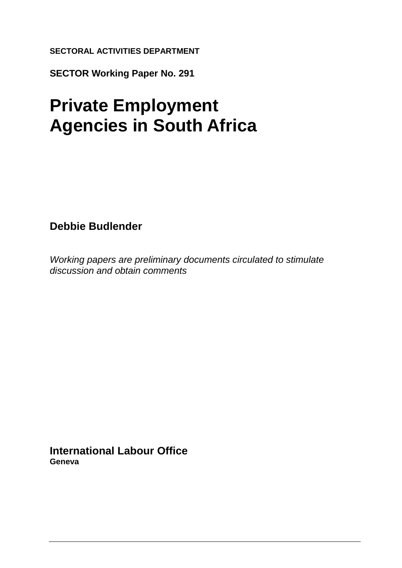### **SECTORAL ACTIVITIES DEPARTMENT**

**SECTOR Working Paper No. 291**

# **Private Employment Agencies in South Africa**

**Debbie Budlender**

*Working papers are preliminary documents circulated to stimulate discussion and obtain comments*

**International Labour Office Geneva**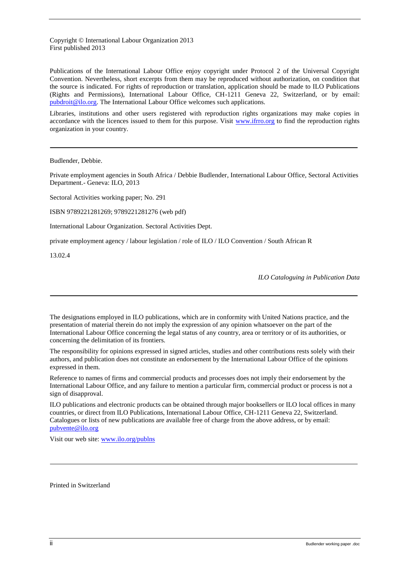Copyright © International Labour Organization 2013 First published 2013

Publications of the International Labour Office enjoy copyright under Protocol 2 of the Universal Copyright Convention. Nevertheless, short excerpts from them may be reproduced without authorization, on condition that the source is indicated. For rights of reproduction or translation, application should be made to ILO Publications (Rights and Permissions), International Labour Office, CH-1211 Geneva 22, Switzerland, or by email: [pubdroit@ilo.org.](mailto:pubdroit@ilo.org) The International Labour Office welcomes such applications.

Libraries, institutions and other users registered with reproduction rights organizations may make copies in accordance with the licences issued to them for this purpose. Visit [www.ifrro.org](http://www.ifrro.org/) to find the reproduction rights organization in your country.

Budlender, Debbie.

Private employment agencies in South Africa / Debbie Budlender, International Labour Office, Sectoral Activities Department.- Geneva: ILO, 2013

Sectoral Activities working paper; No. 291

ISBN 9789221281269; 9789221281276 (web pdf)

International Labour Organization. Sectoral Activities Dept.

private employment agency / labour legislation / role of ILO / ILO Convention / South African R

13.02.4

*ILO Cataloguing in Publication Data*

The designations employed in ILO publications, which are in conformity with United Nations practice, and the presentation of material therein do not imply the expression of any opinion whatsoever on the part of the International Labour Office concerning the legal status of any country, area or territory or of its authorities, or concerning the delimitation of its frontiers.

The responsibility for opinions expressed in signed articles, studies and other contributions rests solely with their authors, and publication does not constitute an endorsement by the International Labour Office of the opinions expressed in them.

Reference to names of firms and commercial products and processes does not imply their endorsement by the International Labour Office, and any failure to mention a particular firm, commercial product or process is not a sign of disapproval.

ILO publications and electronic products can be obtained through major booksellers or ILO local offices in many countries, or direct from ILO Publications, International Labour Office, CH-1211 Geneva 22, Switzerland. Catalogues or lists of new publications are available free of charge from the above address, or by email: [pubvente@ilo.org](mailto:pubvente@ilo.org)

Visit our web site: [www.ilo.org/publns](http://www.ilo.org/publns)

Printed in Switzerland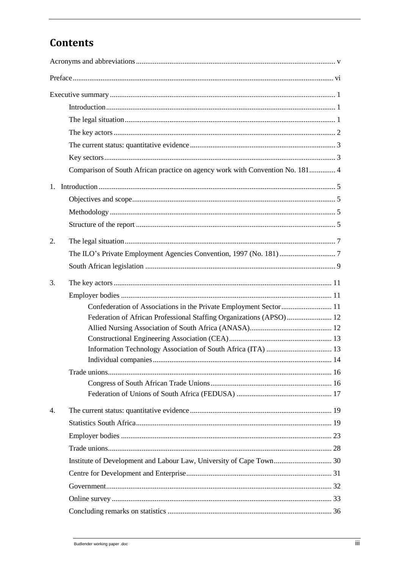### **Contents**

|    | Comparison of South African practice on agency work with Convention No. 181 4 |
|----|-------------------------------------------------------------------------------|
|    |                                                                               |
|    |                                                                               |
|    |                                                                               |
|    |                                                                               |
| 2. |                                                                               |
|    |                                                                               |
|    |                                                                               |
| 3. |                                                                               |
|    |                                                                               |
|    | Confederation of Associations in the Private Employment Sector 11             |
|    | Federation of African Professional Staffing Organizations (APSO) 12           |
|    |                                                                               |
|    |                                                                               |
|    |                                                                               |
|    |                                                                               |
|    |                                                                               |
|    |                                                                               |
| 4. |                                                                               |
|    |                                                                               |
|    |                                                                               |
|    |                                                                               |
|    |                                                                               |
|    |                                                                               |
|    |                                                                               |
|    |                                                                               |
|    |                                                                               |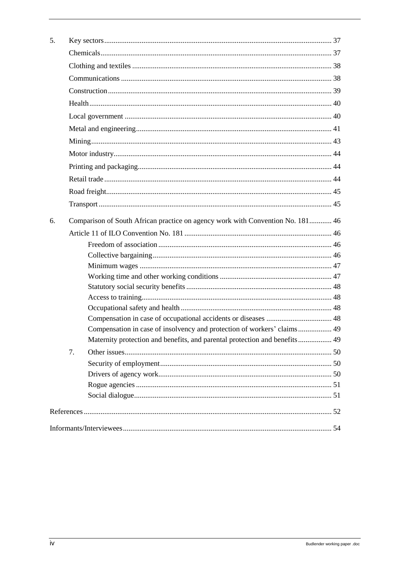| 5. |                                                                                |                                                                            |  |  |  |
|----|--------------------------------------------------------------------------------|----------------------------------------------------------------------------|--|--|--|
|    |                                                                                |                                                                            |  |  |  |
|    |                                                                                |                                                                            |  |  |  |
|    |                                                                                |                                                                            |  |  |  |
|    |                                                                                |                                                                            |  |  |  |
|    |                                                                                |                                                                            |  |  |  |
|    |                                                                                |                                                                            |  |  |  |
|    |                                                                                |                                                                            |  |  |  |
|    |                                                                                |                                                                            |  |  |  |
|    |                                                                                |                                                                            |  |  |  |
|    |                                                                                |                                                                            |  |  |  |
|    |                                                                                |                                                                            |  |  |  |
|    |                                                                                |                                                                            |  |  |  |
|    |                                                                                |                                                                            |  |  |  |
|    |                                                                                |                                                                            |  |  |  |
| 6. | Comparison of South African practice on agency work with Convention No. 181 46 |                                                                            |  |  |  |
|    |                                                                                |                                                                            |  |  |  |
|    |                                                                                |                                                                            |  |  |  |
|    |                                                                                |                                                                            |  |  |  |
|    |                                                                                |                                                                            |  |  |  |
|    |                                                                                |                                                                            |  |  |  |
|    |                                                                                |                                                                            |  |  |  |
|    |                                                                                |                                                                            |  |  |  |
|    |                                                                                |                                                                            |  |  |  |
|    |                                                                                |                                                                            |  |  |  |
|    |                                                                                | Compensation in case of insolvency and protection of workers' claims 49    |  |  |  |
|    |                                                                                | Maternity protection and benefits, and parental protection and benefits 49 |  |  |  |
|    | 7.                                                                             |                                                                            |  |  |  |
|    |                                                                                |                                                                            |  |  |  |
|    |                                                                                |                                                                            |  |  |  |
|    |                                                                                |                                                                            |  |  |  |
|    |                                                                                |                                                                            |  |  |  |
|    |                                                                                |                                                                            |  |  |  |
|    |                                                                                |                                                                            |  |  |  |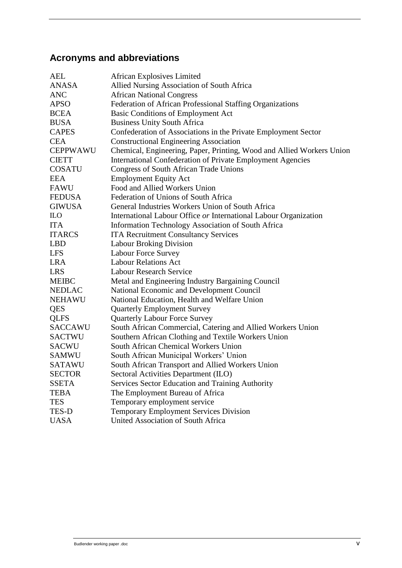### <span id="page-4-0"></span>**Acronyms and abbreviations**

| <b>AEL</b>      | <b>African Explosives Limited</b>                                     |
|-----------------|-----------------------------------------------------------------------|
| <b>ANASA</b>    | Allied Nursing Association of South Africa                            |
| <b>ANC</b>      | <b>African National Congress</b>                                      |
| <b>APSO</b>     | Federation of African Professional Staffing Organizations             |
| <b>BCEA</b>     | Basic Conditions of Employment Act                                    |
| <b>BUSA</b>     | <b>Business Unity South Africa</b>                                    |
| <b>CAPES</b>    | Confederation of Associations in the Private Employment Sector        |
| <b>CEA</b>      | <b>Constructional Engineering Association</b>                         |
| <b>CEPPWAWU</b> | Chemical, Engineering, Paper, Printing, Wood and Allied Workers Union |
| <b>CIETT</b>    | <b>International Confederation of Private Employment Agencies</b>     |
| <b>COSATU</b>   | <b>Congress of South African Trade Unions</b>                         |
| <b>EEA</b>      | <b>Employment Equity Act</b>                                          |
| <b>FAWU</b>     | Food and Allied Workers Union                                         |
| <b>FEDUSA</b>   | Federation of Unions of South Africa                                  |
| <b>GIWUSA</b>   | General Industries Workers Union of South Africa                      |
| <b>ILO</b>      | International Labour Office or International Labour Organization      |
| <b>ITA</b>      | Information Technology Association of South Africa                    |
| <b>ITARCS</b>   | <b>ITA Recruitment Consultancy Services</b>                           |
| <b>LBD</b>      | <b>Labour Broking Division</b>                                        |
| <b>LFS</b>      | <b>Labour Force Survey</b>                                            |
| <b>LRA</b>      | <b>Labour Relations Act</b>                                           |
| <b>LRS</b>      | <b>Labour Research Service</b>                                        |
| <b>MEIBC</b>    | Metal and Engineering Industry Bargaining Council                     |
| <b>NEDLAC</b>   | National Economic and Development Council                             |
| <b>NEHAWU</b>   | National Education, Health and Welfare Union                          |
| <b>QES</b>      | <b>Quarterly Employment Survey</b>                                    |
| <b>QLFS</b>     | <b>Quarterly Labour Force Survey</b>                                  |
| <b>SACCAWU</b>  | South African Commercial, Catering and Allied Workers Union           |
| <b>SACTWU</b>   | Southern African Clothing and Textile Workers Union                   |
| <b>SACWU</b>    | South African Chemical Workers Union                                  |
| <b>SAMWU</b>    | South African Municipal Workers' Union                                |
| <b>SATAWU</b>   | South African Transport and Allied Workers Union                      |
| <b>SECTOR</b>   | Sectoral Activities Department (ILO)                                  |
| <b>SSETA</b>    | Services Sector Education and Training Authority                      |
| <b>TEBA</b>     | The Employment Bureau of Africa                                       |
| <b>TES</b>      | Temporary employment service                                          |
| TES-D           | <b>Temporary Employment Services Division</b>                         |
| <b>UASA</b>     | United Association of South Africa                                    |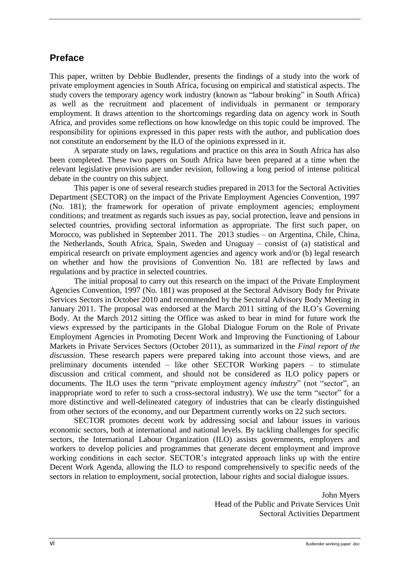### <span id="page-5-0"></span>**Preface**

This paper, written by Debbie Budlender, presents the findings of a study into the work of private employment agencies in South Africa, focusing on empirical and statistical aspects. The study covers the temporary agency work industry (known as "labour broking" in South Africa) as well as the recruitment and placement of individuals in permanent or temporary employment. It draws attention to the shortcomings regarding data on agency work in South Africa, and provides some reflections on how knowledge on this topic could be improved. The responsibility for opinions expressed in this paper rests with the author, and publication does not constitute an endorsement by the ILO of the opinions expressed in it.

A separate study on laws, regulations and practice on this area in South Africa has also been completed. These two papers on South Africa have been prepared at a time when the relevant legislative provisions are under revision, following a long period of intense political debate in the country on this subject.

This paper is one of several research studies prepared in 2013 for the Sectoral Activities Department (SECTOR) on the impact of the Private Employment Agencies Convention, 1997 (No. 181); the framework for operation of private employment agencies; employment conditions; and treatment as regards such issues as pay, social protection, leave and pensions in selected countries, providing sectoral information as appropriate. The first such paper, on Morocco, was published in September 2011. The 2013 studies – on Argentina, Chile, China, the Netherlands, South Africa, Spain, Sweden and Uruguay – consist of (a) statistical and empirical research on private employment agencies and agency work and/or (b) legal research on whether and how the provisions of Convention No. 181 are reflected by laws and regulations and by practice in selected countries.

The initial proposal to carry out this research on the impact of the Private Employment Agencies Convention, 1997 (No. 181) was proposed at the Sectoral Advisory Body for Private Services Sectors in October 2010 and recommended by the Sectoral Advisory Body Meeting in January 2011. The proposal was endorsed at the March 2011 sitting of the ILO's Governing Body. At the March 2012 sitting the Office was asked to bear in mind for future work the views expressed by the participants in the Global Dialogue Forum on the Role of Private Employment Agencies in Promoting Decent Work and Improving the Functioning of Labour Markets in Private Services Sectors (October 2011), as summarized in the *Final report of the discussion*. These research papers were prepared taking into account those views, and are preliminary documents intended – like other SECTOR Working papers – to stimulate discussion and critical comment, and should not be considered as ILO policy papers or documents. The ILO uses the term "private employment agency *industry*" (not "sector", an inappropriate word to refer to such a cross-sectoral industry). We use the term "sector" for a more distinctive and well-delineated category of industries that can be clearly distinguished from other sectors of the economy, and our Department currently works on 22 such sectors.

SECTOR promotes decent work by addressing social and labour issues in various economic sectors, both at international and national levels. By tackling challenges for specific sectors, the International Labour Organization (ILO) assists governments, employers and workers to develop policies and programmes that generate decent employment and improve working conditions in each sector. SECTOR's integrated approach links up with the entire Decent Work Agenda, allowing the ILO to respond comprehensively to specific needs of the sectors in relation to employment, social protection, labour rights and social dialogue issues.

> John Myers Head of the Public and Private Services Unit Sectoral Activities Department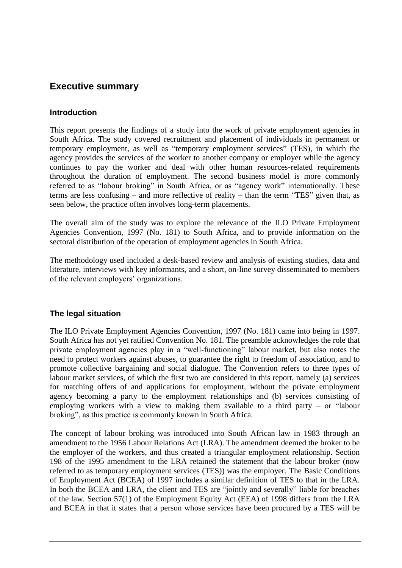### <span id="page-6-0"></span>**Executive summary**

### <span id="page-6-1"></span>**Introduction**

This report presents the findings of a study into the work of private employment agencies in South Africa. The study covered recruitment and placement of individuals in permanent or temporary employment, as well as "temporary employment services" (TES), in which the agency provides the services of the worker to another company or employer while the agency continues to pay the worker and deal with other human resources-related requirements throughout the duration of employment. The second business model is more commonly referred to as "labour broking" in South Africa, or as "agency work" internationally. These terms are less confusing – and more reflective of reality – than the term "TES" given that, as seen below, the practice often involves long-term placements.

The overall aim of the study was to explore the relevance of the ILO Private Employment Agencies Convention, 1997 (No. 181) to South Africa, and to provide information on the sectoral distribution of the operation of employment agencies in South Africa.

The methodology used included a desk-based review and analysis of existing studies, data and literature, interviews with key informants, and a short, on-line survey disseminated to members of the relevant employers' organizations.

### <span id="page-6-2"></span>**The legal situation**

The ILO Private Employment Agencies Convention, 1997 (No. 181) came into being in 1997. South Africa has not yet ratified Convention No. 181. The preamble acknowledges the role that private employment agencies play in a "well-functioning" labour market, but also notes the need to protect workers against abuses, to guarantee the right to freedom of association, and to promote collective bargaining and social dialogue. The Convention refers to three types of labour market services, of which the first two are considered in this report, namely (a) services for matching offers of and applications for employment, without the private employment agency becoming a party to the employment relationships and (b) services consisting of employing workers with a view to making them available to a third party – or "labour broking", as this practice is commonly known in South Africa.

The concept of labour broking was introduced into South African law in 1983 through an amendment to the 1956 Labour Relations Act (LRA). The amendment deemed the broker to be the employer of the workers, and thus created a triangular employment relationship. Section 198 of the 1995 amendment to the LRA retained the statement that the labour broker (now referred to as temporary employment services (TES)) was the employer. The Basic Conditions of Employment Act (BCEA) of 1997 includes a similar definition of TES to that in the LRA. In both the BCEA and LRA, the client and TES are "jointly and severally" liable for breaches of the law. Section 57(1) of the Employment Equity Act (EEA) of 1998 differs from the LRA and BCEA in that it states that a person whose services have been procured by a TES will be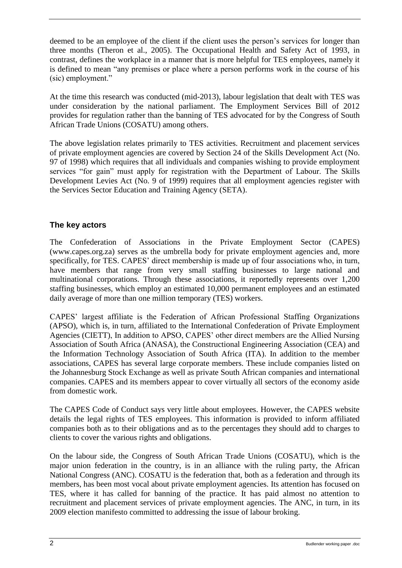deemed to be an employee of the client if the client uses the person's services for longer than three months (Theron et al., 2005). The Occupational Health and Safety Act of 1993, in contrast, defines the workplace in a manner that is more helpful for TES employees, namely it is defined to mean "any premises or place where a person performs work in the course of his (sic) employment."

At the time this research was conducted (mid-2013), labour legislation that dealt with TES was under consideration by the national parliament. The Employment Services Bill of 2012 provides for regulation rather than the banning of TES advocated for by the Congress of South African Trade Unions (COSATU) among others.

The above legislation relates primarily to TES activities. Recruitment and placement services of private employment agencies are covered by Section 24 of the Skills Development Act (No. 97 of 1998) which requires that all individuals and companies wishing to provide employment services "for gain" must apply for registration with the Department of Labour. The Skills Development Levies Act (No. 9 of 1999) requires that all employment agencies register with the Services Sector Education and Training Agency (SETA).

### <span id="page-7-0"></span>**The key actors**

The Confederation of Associations in the Private Employment Sector (CAPES) [\(www.capes.org.za\)](http://www.capes.org.za/) serves as the umbrella body for private employment agencies and, more specifically, for TES. CAPES' direct membership is made up of four associations who, in turn, have members that range from very small staffing businesses to large national and multinational corporations. Through these associations, it reportedly represents over 1,200 staffing businesses, which employ an estimated 10,000 permanent employees and an estimated daily average of more than one million temporary (TES) workers.

CAPES' largest affiliate is the Federation of African Professional Staffing Organizations (APSO), which is, in turn, affiliated to the International Confederation of Private Employment Agencies (CIETT), In addition to APSO, CAPES' other direct members are the Allied Nursing Association of South Africa (ANASA), the Constructional Engineering Association (CEA) and the Information Technology Association of South Africa (ITA). In addition to the member associations, CAPES has several large corporate members. These include companies listed on the Johannesburg Stock Exchange as well as private South African companies and international companies. CAPES and its members appear to cover virtually all sectors of the economy aside from domestic work.

The CAPES Code of Conduct says very little about employees. However, the CAPES website details the legal rights of TES employees. This information is provided to inform affiliated companies both as to their obligations and as to the percentages they should add to charges to clients to cover the various rights and obligations.

On the labour side, the Congress of South African Trade Unions (COSATU), which is the major union federation in the country, is in an alliance with the ruling party, the African National Congress (ANC). COSATU is the federation that, both as a federation and through its members, has been most vocal about private employment agencies. Its attention has focused on TES, where it has called for banning of the practice. It has paid almost no attention to recruitment and placement services of private employment agencies. The ANC, in turn, in its 2009 election manifesto committed to addressing the issue of labour broking.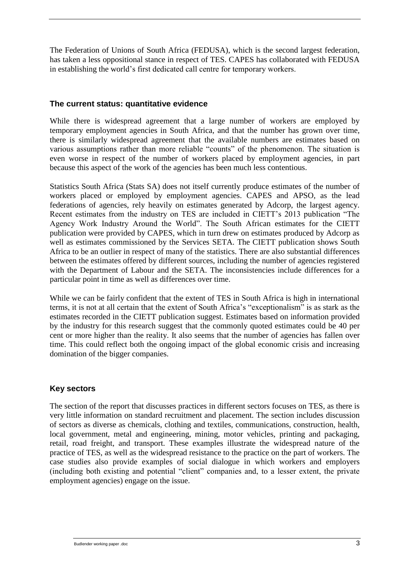The Federation of Unions of South Africa (FEDUSA), which is the second largest federation, has taken a less oppositional stance in respect of TES. CAPES has collaborated with FEDUSA in establishing the world's first dedicated call centre for temporary workers.

#### <span id="page-8-0"></span>**The current status: quantitative evidence**

While there is widespread agreement that a large number of workers are employed by temporary employment agencies in South Africa, and that the number has grown over time, there is similarly widespread agreement that the available numbers are estimates based on various assumptions rather than more reliable "counts" of the phenomenon. The situation is even worse in respect of the number of workers placed by employment agencies, in part because this aspect of the work of the agencies has been much less contentious.

Statistics South Africa (Stats SA) does not itself currently produce estimates of the number of workers placed or employed by employment agencies. CAPES and APSO, as the lead federations of agencies, rely heavily on estimates generated by Adcorp, the largest agency. Recent estimates from the industry on TES are included in CIETT's 2013 publication "The Agency Work Industry Around the World". The South African estimates for the CIETT publication were provided by CAPES, which in turn drew on estimates produced by Adcorp as well as estimates commissioned by the Services SETA. The CIETT publication shows South Africa to be an outlier in respect of many of the statistics. There are also substantial differences between the estimates offered by different sources, including the number of agencies registered with the Department of Labour and the SETA. The inconsistencies include differences for a particular point in time as well as differences over time.

While we can be fairly confident that the extent of TES in South Africa is high in international terms, it is not at all certain that the extent of South Africa's "exceptionalism" is as stark as the estimates recorded in the CIETT publication suggest. Estimates based on information provided by the industry for this research suggest that the commonly quoted estimates could be 40 per cent or more higher than the reality. It also seems that the number of agencies has fallen over time. This could reflect both the ongoing impact of the global economic crisis and increasing domination of the bigger companies.

### <span id="page-8-1"></span>**Key sectors**

The section of the report that discusses practices in different sectors focuses on TES, as there is very little information on standard recruitment and placement. The section includes discussion of sectors as diverse as chemicals, clothing and textiles, communications, construction, health, local government, metal and engineering, mining, motor vehicles, printing and packaging, retail, road freight, and transport. These examples illustrate the widespread nature of the practice of TES, as well as the widespread resistance to the practice on the part of workers. The case studies also provide examples of social dialogue in which workers and employers (including both existing and potential "client" companies and, to a lesser extent, the private employment agencies) engage on the issue.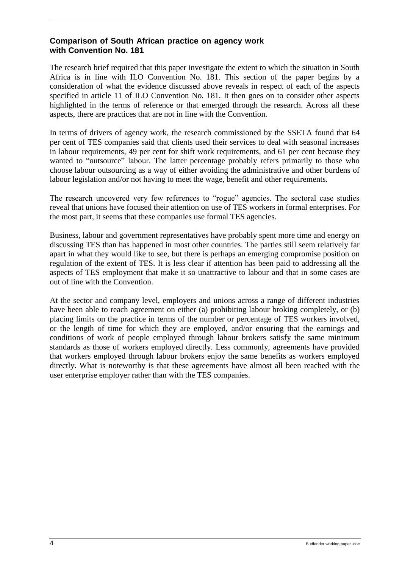### <span id="page-9-0"></span>**Comparison of South African practice on agency work with Convention No. 181**

The research brief required that this paper investigate the extent to which the situation in South Africa is in line with ILO Convention No. 181. This section of the paper begins by a consideration of what the evidence discussed above reveals in respect of each of the aspects specified in article 11 of ILO Convention No. 181. It then goes on to consider other aspects highlighted in the terms of reference or that emerged through the research. Across all these aspects, there are practices that are not in line with the Convention.

In terms of drivers of agency work, the research commissioned by the SSETA found that 64 per cent of TES companies said that clients used their services to deal with seasonal increases in labour requirements, 49 per cent for shift work requirements, and 61 per cent because they wanted to "outsource" labour. The latter percentage probably refers primarily to those who choose labour outsourcing as a way of either avoiding the administrative and other burdens of labour legislation and/or not having to meet the wage, benefit and other requirements.

The research uncovered very few references to "rogue" agencies. The sectoral case studies reveal that unions have focused their attention on use of TES workers in formal enterprises. For the most part, it seems that these companies use formal TES agencies.

Business, labour and government representatives have probably spent more time and energy on discussing TES than has happened in most other countries. The parties still seem relatively far apart in what they would like to see, but there is perhaps an emerging compromise position on regulation of the extent of TES. It is less clear if attention has been paid to addressing all the aspects of TES employment that make it so unattractive to labour and that in some cases are out of line with the Convention.

At the sector and company level, employers and unions across a range of different industries have been able to reach agreement on either (a) prohibiting labour broking completely, or (b) placing limits on the practice in terms of the number or percentage of TES workers involved, or the length of time for which they are employed, and/or ensuring that the earnings and conditions of work of people employed through labour brokers satisfy the same minimum standards as those of workers employed directly. Less commonly, agreements have provided that workers employed through labour brokers enjoy the same benefits as workers employed directly. What is noteworthy is that these agreements have almost all been reached with the user enterprise employer rather than with the TES companies.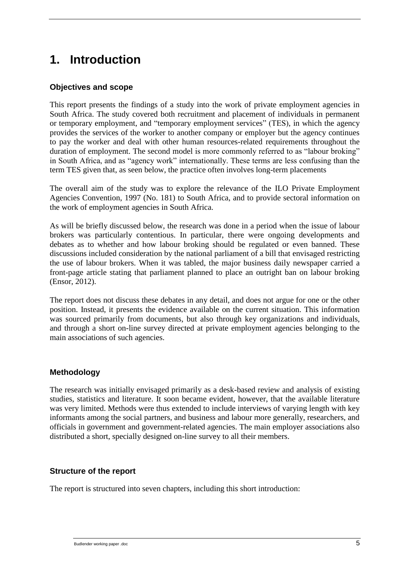# <span id="page-10-0"></span>**1. Introduction**

### <span id="page-10-1"></span>**Objectives and scope**

This report presents the findings of a study into the work of private employment agencies in South Africa. The study covered both recruitment and placement of individuals in permanent or temporary employment, and "temporary employment services" (TES), in which the agency provides the services of the worker to another company or employer but the agency continues to pay the worker and deal with other human resources-related requirements throughout the duration of employment. The second model is more commonly referred to as "labour broking" in South Africa, and as "agency work" internationally. These terms are less confusing than the term TES given that, as seen below, the practice often involves long-term placements

The overall aim of the study was to explore the relevance of the ILO Private Employment Agencies Convention, 1997 (No. 181) to South Africa, and to provide sectoral information on the work of employment agencies in South Africa.

As will be briefly discussed below, the research was done in a period when the issue of labour brokers was particularly contentious. In particular, there were ongoing developments and debates as to whether and how labour broking should be regulated or even banned. These discussions included consideration by the national parliament of a bill that envisaged restricting the use of labour brokers. When it was tabled, the major business daily newspaper carried a front-page article stating that parliament planned to place an outright ban on labour broking (Ensor, 2012).

The report does not discuss these debates in any detail, and does not argue for one or the other position. Instead, it presents the evidence available on the current situation. This information was sourced primarily from documents, but also through key organizations and individuals, and through a short on-line survey directed at private employment agencies belonging to the main associations of such agencies.

### <span id="page-10-2"></span>**Methodology**

The research was initially envisaged primarily as a desk-based review and analysis of existing studies, statistics and literature. It soon became evident, however, that the available literature was very limited. Methods were thus extended to include interviews of varying length with key informants among the social partners, and business and labour more generally, researchers, and officials in government and government-related agencies. The main employer associations also distributed a short, specially designed on-line survey to all their members.

#### <span id="page-10-3"></span>**Structure of the report**

The report is structured into seven chapters, including this short introduction: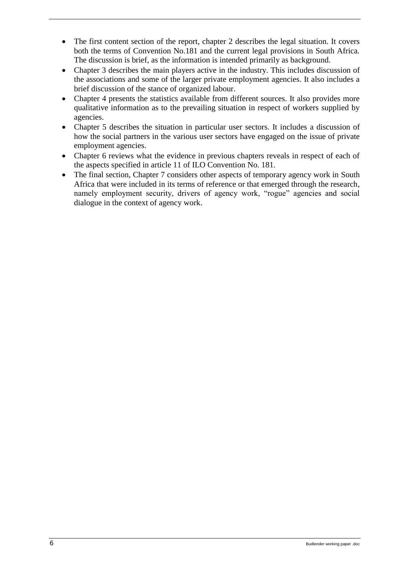- The first content section of the report, chapter 2 describes the legal situation. It covers both the terms of Convention No.181 and the current legal provisions in South Africa. The discussion is brief, as the information is intended primarily as background.
- Chapter 3 describes the main players active in the industry. This includes discussion of the associations and some of the larger private employment agencies. It also includes a brief discussion of the stance of organized labour.
- Chapter 4 presents the statistics available from different sources. It also provides more qualitative information as to the prevailing situation in respect of workers supplied by agencies.
- Chapter 5 describes the situation in particular user sectors. It includes a discussion of how the social partners in the various user sectors have engaged on the issue of private employment agencies.
- Chapter 6 reviews what the evidence in previous chapters reveals in respect of each of the aspects specified in article 11 of ILO Convention No. 181.
- The final section, Chapter 7 considers other aspects of temporary agency work in South Africa that were included in its terms of reference or that emerged through the research, namely employment security, drivers of agency work, "rogue" agencies and social dialogue in the context of agency work.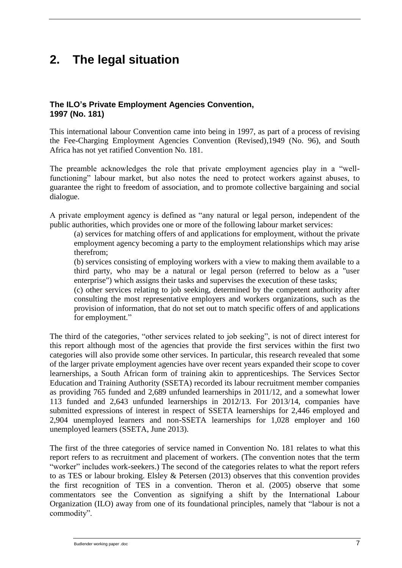# <span id="page-12-0"></span>**2. The legal situation**

### <span id="page-12-1"></span>**The ILO's Private Employment Agencies Convention, 1997 (No. 181)**

This international labour Convention came into being in 1997, as part of a process of revising the Fee-Charging Employment Agencies Convention (Revised),1949 (No. 96), and South Africa has not yet ratified Convention No. 181.

The preamble acknowledges the role that private employment agencies play in a "wellfunctioning" labour market, but also notes the need to protect workers against abuses, to guarantee the right to freedom of association, and to promote collective bargaining and social dialogue.

A private employment agency is defined as "any natural or legal person, independent of the public authorities, which provides one or more of the following labour market services:

(a) services for matching offers of and applications for employment, without the private employment agency becoming a party to the employment relationships which may arise therefrom;

(b) services consisting of employing workers with a view to making them available to a third party, who may be a natural or legal person (referred to below as a "user enterprise") which assigns their tasks and supervises the execution of these tasks;

(c) other services relating to job seeking, determined by the competent authority after consulting the most representative employers and workers organizations, such as the provision of information, that do not set out to match specific offers of and applications for employment."

The third of the categories, "other services related to job seeking", is not of direct interest for this report although most of the agencies that provide the first services within the first two categories will also provide some other services. In particular, this research revealed that some of the larger private employment agencies have over recent years expanded their scope to cover learnerships, a South African form of training akin to apprenticeships. The Services Sector Education and Training Authority (SSETA) recorded its labour recruitment member companies as providing 765 funded and 2,689 unfunded learnerships in 2011/12, and a somewhat lower 113 funded and 2,643 unfunded learnerships in 2012/13. For 2013/14, companies have submitted expressions of interest in respect of SSETA learnerships for 2,446 employed and 2,904 unemployed learners and non-SSETA learnerships for 1,028 employer and 160 unemployed learners (SSETA, June 2013).

The first of the three categories of service named in Convention No. 181 relates to what this report refers to as recruitment and placement of workers. (The convention notes that the term "worker" includes work-seekers.) The second of the categories relates to what the report refers to as TES or labour broking. Elsley & Petersen (2013) observes that this convention provides the first recognition of TES in a convention. Theron et al. (2005) observe that some commentators see the Convention as signifying a shift by the International Labour Organization (ILO) away from one of its foundational principles, namely that "labour is not a commodity".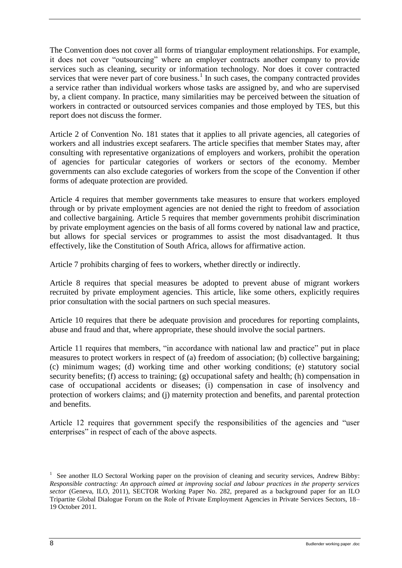The Convention does not cover all forms of triangular employment relationships. For example, it does not cover "outsourcing" where an employer contracts another company to provide services such as cleaning, security or information technology. Nor does it cover contracted services that were never part of core business. $<sup>1</sup>$  In such cases, the company contracted provides</sup> a service rather than individual workers whose tasks are assigned by, and who are supervised by, a client company. In practice, many similarities may be perceived between the situation of workers in contracted or outsourced services companies and those employed by TES, but this report does not discuss the former.

Article 2 of Convention No. 181 states that it applies to all private agencies, all categories of workers and all industries except seafarers. The article specifies that member States may, after consulting with representative organizations of employers and workers, prohibit the operation of agencies for particular categories of workers or sectors of the economy. Member governments can also exclude categories of workers from the scope of the Convention if other forms of adequate protection are provided.

Article 4 requires that member governments take measures to ensure that workers employed through or by private employment agencies are not denied the right to freedom of association and collective bargaining. Article 5 requires that member governments prohibit discrimination by private employment agencies on the basis of all forms covered by national law and practice, but allows for special services or programmes to assist the most disadvantaged. It thus effectively, like the Constitution of South Africa, allows for affirmative action.

Article 7 prohibits charging of fees to workers, whether directly or indirectly.

Article 8 requires that special measures be adopted to prevent abuse of migrant workers recruited by private employment agencies. This article, like some others, explicitly requires prior consultation with the social partners on such special measures.

Article 10 requires that there be adequate provision and procedures for reporting complaints, abuse and fraud and that, where appropriate, these should involve the social partners.

Article 11 requires that members, "in accordance with national law and practice" put in place measures to protect workers in respect of (a) freedom of association; (b) collective bargaining; (c) minimum wages; (d) working time and other working conditions; (e) statutory social security benefits; (f) access to training; (g) occupational safety and health; (h) compensation in case of occupational accidents or diseases; (i) compensation in case of insolvency and protection of workers claims; and (j) maternity protection and benefits, and parental protection and benefits.

Article 12 requires that government specify the responsibilities of the agencies and "user enterprises" in respect of each of the above aspects.

<sup>&</sup>lt;sup>1</sup> See another ILO Sectoral Working paper on the provision of cleaning and security services, Andrew Bibby: *Responsible contracting: An approach aimed at improving social and labour practices in the property services sector* (Geneva, ILO, 2011), SECTOR Working Paper No. 282, prepared as a background paper for an ILO Tripartite Global Dialogue Forum on the Role of Private Employment Agencies in Private Services Sectors, 18– 19 October 2011*.*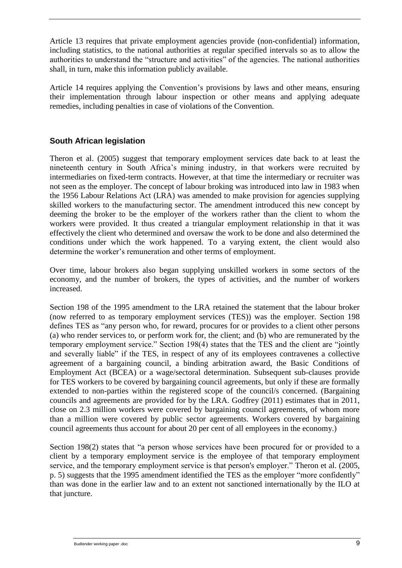Article 13 requires that private employment agencies provide (non-confidential) information, including statistics, to the national authorities at regular specified intervals so as to allow the authorities to understand the "structure and activities" of the agencies. The national authorities shall, in turn, make this information publicly available.

Article 14 requires applying the Convention's provisions by laws and other means, ensuring their implementation through labour inspection or other means and applying adequate remedies, including penalties in case of violations of the Convention.

### <span id="page-14-0"></span>**South African legislation**

Theron et al. (2005) suggest that temporary employment services date back to at least the nineteenth century in South Africa's mining industry, in that workers were recruited by intermediaries on fixed-term contracts. However, at that time the intermediary or recruiter was not seen as the employer. The concept of labour broking was introduced into law in 1983 when the 1956 Labour Relations Act (LRA) was amended to make provision for agencies supplying skilled workers to the manufacturing sector. The amendment introduced this new concept by deeming the broker to be the employer of the workers rather than the client to whom the workers were provided. It thus created a triangular employment relationship in that it was effectively the client who determined and oversaw the work to be done and also determined the conditions under which the work happened. To a varying extent, the client would also determine the worker's remuneration and other terms of employment.

Over time, labour brokers also began supplying unskilled workers in some sectors of the economy, and the number of brokers, the types of activities, and the number of workers increased.

Section 198 of the 1995 amendment to the LRA retained the statement that the labour broker (now referred to as temporary employment services (TES)) was the employer. Section 198 defines TES as "any person who, for reward, procures for or provides to a client other persons (a) who render services to, or perform work for, the client; and (b) who are remunerated by the temporary employment service." Section 198(4) states that the TES and the client are "jointly and severally liable" if the TES, in respect of any of its employees contravenes a collective agreement of a bargaining council, a binding arbitration award, the Basic Conditions of Employment Act (BCEA) or a wage/sectoral determination. Subsequent sub-clauses provide for TES workers to be covered by bargaining council agreements, but only if these are formally extended to non-parties within the registered scope of the council/s concerned. (Bargaining councils and agreements are provided for by the LRA. Godfrey (2011) estimates that in 2011, close on 2.3 million workers were covered by bargaining council agreements, of whom more than a million were covered by public sector agreements. Workers covered by bargaining council agreements thus account for about 20 per cent of all employees in the economy.)

Section 198(2) states that "a person whose services have been procured for or provided to a client by a temporary employment service is the employee of that temporary employment service, and the temporary employment service is that person's employer." Theron et al. (2005, p. 5) suggests that the 1995 amendment identified the TES as the employer "more confidently" than was done in the earlier law and to an extent not sanctioned internationally by the ILO at that juncture.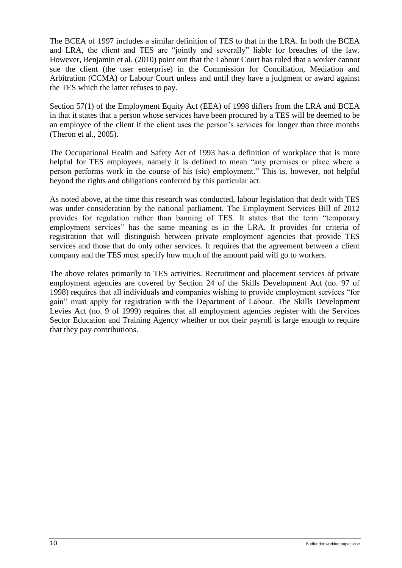The BCEA of 1997 includes a similar definition of TES to that in the LRA. In both the BCEA and LRA, the client and TES are "jointly and severally" liable for breaches of the law. However, Benjamin et al. (2010) point out that the Labour Court has ruled that a worker cannot sue the client (the user enterprise) in the Commission for Conciliation, Mediation and Arbitration (CCMA) or Labour Court unless and until they have a judgment or award against the TES which the latter refuses to pay.

Section 57(1) of the Employment Equity Act (EEA) of 1998 differs from the LRA and BCEA in that it states that a person whose services have been procured by a TES will be deemed to be an employee of the client if the client uses the person's services for longer than three months (Theron et al., 2005).

The Occupational Health and Safety Act of 1993 has a definition of workplace that is more helpful for TES employees, namely it is defined to mean "any premises or place where a person performs work in the course of his (sic) employment." This is, however, not helpful beyond the rights and obligations conferred by this particular act.

As noted above, at the time this research was conducted, labour legislation that dealt with TES was under consideration by the national parliament. The Employment Services Bill of 2012 provides for regulation rather than banning of TES. It states that the term "temporary employment services" has the same meaning as in the LRA. It provides for criteria of registration that will distinguish between private employment agencies that provide TES services and those that do only other services. It requires that the agreement between a client company and the TES must specify how much of the amount paid will go to workers.

The above relates primarily to TES activities. Recruitment and placement services of private employment agencies are covered by Section 24 of the Skills Development Act (no. 97 of 1998) requires that all individuals and companies wishing to provide employment services "for gain" must apply for registration with the Department of Labour. The Skills Development Levies Act (no. 9 of 1999) requires that all employment agencies register with the Services Sector Education and Training Agency whether or not their payroll is large enough to require that they pay contributions.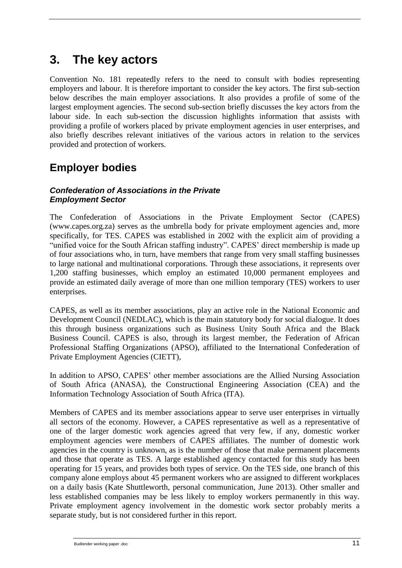# <span id="page-16-0"></span>**3. The key actors**

Convention No. 181 repeatedly refers to the need to consult with bodies representing employers and labour. It is therefore important to consider the key actors. The first sub-section below describes the main employer associations. It also provides a profile of some of the largest employment agencies. The second sub-section briefly discusses the key actors from the labour side. In each sub-section the discussion highlights information that assists with providing a profile of workers placed by private employment agencies in user enterprises, and also briefly describes relevant initiatives of the various actors in relation to the services provided and protection of workers.

### <span id="page-16-1"></span>**Employer bodies**

### <span id="page-16-2"></span>*Confederation of Associations in the Private Employment Sector*

The Confederation of Associations in the Private Employment Sector (CAPES) [\(www.capes.org.za\)](http://www.capes.org.za/) serves as the umbrella body for private employment agencies and, more specifically, for TES. CAPES was established in 2002 with the explicit aim of providing a "unified voice for the South African staffing industry". CAPES' direct membership is made up of four associations who, in turn, have members that range from very small staffing businesses to large national and multinational corporations. Through these associations, it represents over 1,200 staffing businesses, which employ an estimated 10,000 permanent employees and provide an estimated daily average of more than one million temporary (TES) workers to user enterprises.

CAPES, as well as its member associations, play an active role in the National Economic and Development Council (NEDLAC), which is the main statutory body for social dialogue. It does this through business organizations such as Business Unity South Africa and the Black Business Council. CAPES is also, through its largest member, the Federation of African Professional Staffing Organizations (APSO), affiliated to the International Confederation of Private Employment Agencies (CIETT),

In addition to APSO, CAPES' other member associations are the Allied Nursing Association of South Africa (ANASA), the Constructional Engineering Association (CEA) and the Information Technology Association of South Africa (ITA).

Members of CAPES and its member associations appear to serve user enterprises in virtually all sectors of the economy. However, a CAPES representative as well as a representative of one of the larger domestic work agencies agreed that very few, if any, domestic worker employment agencies were members of CAPES affiliates. The number of domestic work agencies in the country is unknown, as is the number of those that make permanent placements and those that operate as TES. A large established agency contacted for this study has been operating for 15 years, and provides both types of service. On the TES side, one branch of this company alone employs about 45 permanent workers who are assigned to different workplaces on a daily basis (Kate Shuttleworth, personal communication, June 2013). Other smaller and less established companies may be less likely to employ workers permanently in this way. Private employment agency involvement in the domestic work sector probably merits a separate study, but is not considered further in this report.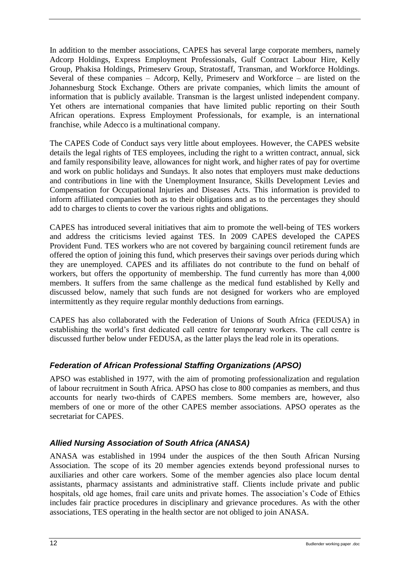In addition to the member associations, CAPES has several large corporate members, namely [Adcorp Holdings,](http://www.adcorp.co.za/) [Express Employment Professionals,](http://www.expresspros.co.za/) [Gulf Contract Labour Hire,](http://gulf.co.za/) [Kelly](http://www.kellygroup.co.za/)  [Group,](http://www.kellygroup.co.za/) [Phakisa Holdings,](http://www.phakisalc.co.za/) [Primeserv Group,](http://www.primeserv.co.za/) [Stratostaff,](http://www.stratostaff.co.za/) [Transman,](http://www.transman.co.za/) and [Workforce Holdings.](http://www.workforce.co.za/) Several of these companies – Adcorp, Kelly, Primeserv and Workforce – are listed on the Johannesburg Stock Exchange. Others are private companies, which limits the amount of information that is publicly available. Transman is the largest unlisted independent company. Yet others are international companies that have limited public reporting on their South African operations. Express Employment Professionals, for example, is an international franchise, while Adecco is a multinational company.

The CAPES Code of Conduct says very little about employees. However, the CAPES website details the legal rights of TES employees, including the right to a written contract, annual, sick and family responsibility leave, allowances for night work, and higher rates of pay for overtime and work on public holidays and Sundays. It also notes that employers must make deductions and contributions in line with the Unemployment Insurance, Skills Development Levies and Compensation for Occupational Injuries and Diseases Acts. This information is provided to inform affiliated companies both as to their obligations and as to the percentages they should add to charges to clients to cover the various rights and obligations.

CAPES has introduced several initiatives that aim to promote the well-being of TES workers and address the criticisms levied against TES. In 2009 CAPES developed the CAPES Provident Fund. TES workers who are not covered by bargaining council retirement funds are offered the option of joining this fund, which preserves their savings over periods during which they are unemployed. CAPES and its affiliates do not contribute to the fund on behalf of workers, but offers the opportunity of membership. The fund currently has more than 4,000 members. It suffers from the same challenge as the medical fund established by Kelly and discussed below, namely that such funds are not designed for workers who are employed intermittently as they require regular monthly deductions from earnings.

CAPES has also collaborated with the Federation of Unions of South Africa (FEDUSA) in establishing the world's first dedicated call centre for temporary workers. The call centre is discussed further below under FEDUSA, as the latter plays the lead role in its operations.

### <span id="page-17-0"></span>*Federation of African Professional Staffing Organizations (APSO)*

APSO was established in 1977, with the aim of promoting professionalization and regulation of labour recruitment in South Africa. APSO has close to 800 companies as members, and thus accounts for nearly two-thirds of CAPES members. Some members are, however, also members of one or more of the other CAPES member associations. APSO operates as the secretariat for CAPES.

### <span id="page-17-1"></span>*Allied Nursing Association of South Africa (ANASA)*

ANASA was established in 1994 under the auspices of the then South African Nursing Association. The scope of its 20 member agencies extends beyond professional nurses to auxiliaries and other care workers. Some of the member agencies also place locum dental assistants, pharmacy assistants and administrative staff. Clients include private and public hospitals, old age homes, frail care units and private homes. The association's Code of Ethics includes fair practice procedures in disciplinary and grievance procedures. As with the other associations, TES operating in the health sector are not obliged to join ANASA.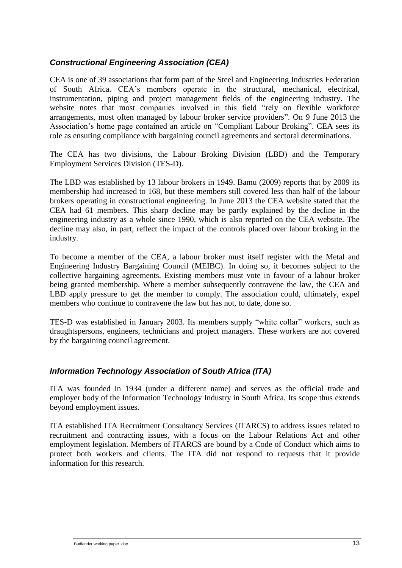### <span id="page-18-0"></span>*Constructional Engineering Association (CEA)*

CEA is one of 39 associations that form part of the Steel and Engineering Industries Federation of South Africa. CEA's members operate in the structural, mechanical, electrical, instrumentation, piping and project management fields of the engineering industry. The website notes that most companies involved in this field "rely on flexible workforce" arrangements, most often managed by labour broker service providers". On 9 June 2013 the Association's home page contained an article on "Compliant Labour Broking". CEA sees its role as ensuring compliance with bargaining council agreements and sectoral determinations.

The CEA has two divisions, the Labour Broking Division (LBD) and the Temporary Employment Services Division (TES-D).

The LBD was established by 13 labour brokers in 1949. Bamu (2009) reports that by 2009 its membership had increased to 168, but these members still covered less than half of the labour brokers operating in constructional engineering. In June 2013 the CEA website stated that the CEA had 61 members. This sharp decline may be partly explained by the decline in the engineering industry as a whole since 1990, which is also reported on the CEA website. The decline may also, in part, reflect the impact of the controls placed over labour broking in the industry.

To become a member of the CEA, a labour broker must itself register with the Metal and Engineering Industry Bargaining Council (MEIBC). In doing so, it becomes subject to the collective bargaining agreements. Existing members must vote in favour of a labour broker being granted membership. Where a member subsequently contravene the law, the CEA and LBD apply pressure to get the member to comply. The association could, ultimately, expel members who continue to contravene the law but has not, to date, done so.

TES-D was established in January 2003. Its members supply "white collar" workers, such as draughtspersons, engineers, technicians and project managers. These workers are not covered by the bargaining council agreement.

### <span id="page-18-1"></span>*Information Technology Association of South Africa (ITA)*

ITA was founded in 1934 (under a different name) and serves as the official trade and employer body of the Information Technology Industry in South Africa. Its scope thus extends beyond employment issues.

ITA established ITA Recruitment Consultancy Services (ITARCS) to address issues related to recruitment and contracting issues, with a focus on the Labour Relations Act and other employment legislation. Members of ITARCS are bound by a Code of Conduct which aims to protect both workers and clients. The ITA did not respond to requests that it provide information for this research.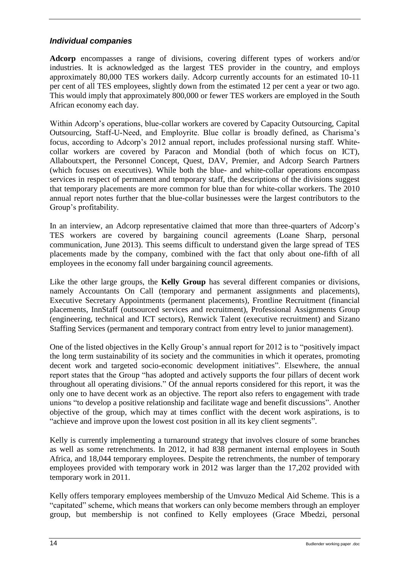### <span id="page-19-0"></span>*Individual companies*

**Adcorp** encompasses a range of divisions, covering different types of workers and/or industries. It is acknowledged as the largest TES provider in the country, and employs approximately 80,000 TES workers daily. Adcorp currently accounts for an estimated 10-11 per cent of all TES employees, slightly down from the estimated 12 per cent a year or two ago. This would imply that approximately 800,000 or fewer TES workers are employed in the South African economy each day.

Within Adcorp's operations, blue-collar workers are covered by Capacity Outsourcing, Capital Outsourcing, Staff-U-Need, and Employrite. Blue collar is broadly defined, as Charisma's focus, according to Adcorp's 2012 annual report, includes professional nursing staff. Whitecollar workers are covered by Paracon and Mondial (both of which focus on ICT), Allaboutxpert, the Personnel Concept, Quest, DAV, Premier, and Adcorp Search Partners (which focuses on executives). While both the blue- and white-collar operations encompass services in respect of permanent and temporary staff, the descriptions of the divisions suggest that temporary placements are more common for blue than for white-collar workers. The 2010 annual report notes further that the blue-collar businesses were the largest contributors to the Group's profitability.

In an interview, an Adcorp representative claimed that more than three-quarters of Adcorp's TES workers are covered by bargaining council agreements (Loane Sharp, personal communication, June 2013). This seems difficult to understand given the large spread of TES placements made by the company, combined with the fact that only about one-fifth of all employees in the economy fall under bargaining council agreements.

Like the other large groups, the **Kelly Group** has several different companies or divisions, namely Accountants On Call (temporary and permanent assignments and placements), Executive Secretary Appointments (permanent placements), Frontline Recruitment (financial placements, InnStaff (outsourced services and recruitment), Professional Assignments Group (engineering, technical and ICT sectors), Renwick Talent (executive recruitment) and Sizano Staffing Services (permanent and temporary contract from entry level to junior management).

One of the listed objectives in the Kelly Group's annual report for 2012 is to "positively impact the long term sustainability of its society and the communities in which it operates, promoting decent work and targeted socio-economic development initiatives". Elsewhere, the annual report states that the Group "has adopted and actively supports the four pillars of decent work throughout all operating divisions." Of the annual reports considered for this report, it was the only one to have decent work as an objective. The report also refers to engagement with trade unions "to develop a positive relationship and facilitate wage and benefit discussions". Another objective of the group, which may at times conflict with the decent work aspirations, is to "achieve and improve upon the lowest cost position in all its key client segments".

Kelly is currently implementing a turnaround strategy that involves closure of some branches as well as some retrenchments. In 2012, it had 838 permanent internal employees in South Africa, and 18,044 temporary employees. Despite the retrenchments, the number of temporary employees provided with temporary work in 2012 was larger than the 17,202 provided with temporary work in 2011.

Kelly offers temporary employees membership of the Umvuzo Medical Aid Scheme. This is a "capitated" scheme, which means that workers can only become members through an employer group, but membership is not confined to Kelly employees (Grace Mbedzi, personal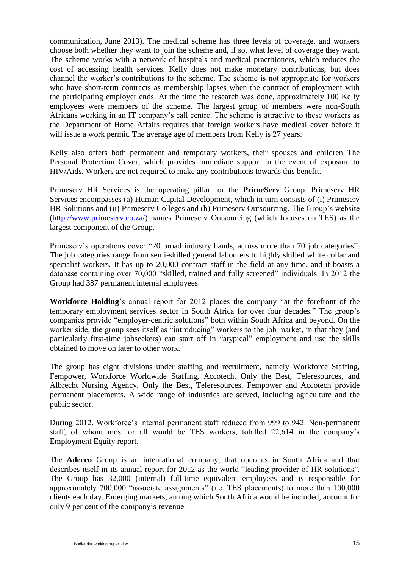communication, June 2013). The medical scheme has three levels of coverage, and workers choose both whether they want to join the scheme and, if so, what level of coverage they want. The scheme works with a network of hospitals and medical practitioners, which reduces the cost of accessing health services. Kelly does not make monetary contributions, but does channel the worker's contributions to the scheme. The scheme is not appropriate for workers who have short-term contracts as membership lapses when the contract of employment with the participating employer ends. At the time the research was done, approximately 100 Kelly employees were members of the scheme. The largest group of members were non-South Africans working in an IT company's call centre. The scheme is attractive to these workers as the Department of Home Affairs requires that foreign workers have medical cover before it will issue a work permit. The average age of members from Kelly is 27 years.

Kelly also offers both permanent and temporary workers, their spouses and children The Personal Protection Cover, which provides immediate support in the event of exposure to HIV/Aids. Workers are not required to make any contributions towards this benefit.

Primeserv HR Services is the operating pillar for the **PrimeServ** Group. Primeserv HR Services encompasses (a) Human Capital Development, which in turn consists of (i) Primeserv HR Solutions and (ii) Primeserv Colleges and (b) Primeserv Outsourcing. The Group's website [\(http://www.primeserv.co.za/\)](http://www.primeserv.co.za/) names Primeserv Outsourcing (which focuses on TES) as the largest component of the Group.

Primeserv's operations cover "20 broad industry bands, across more than 70 job categories". The job categories range from semi-skilled general labourers to highly skilled white collar and specialist workers. It has up to 20,000 contract staff in the field at any time, and it boasts a database containing over 70,000 "skilled, trained and fully screened" individuals. In 2012 the Group had 387 permanent internal employees.

**Workforce Holding**'s annual report for 2012 places the company "at the forefront of the temporary employment services sector in South Africa for over four decades." The group's companies provide "employer-centric solutions" both within South Africa and beyond. On the worker side, the group sees itself as "introducing" workers to the job market, in that they (and particularly first-time jobseekers) can start off in "atypical" employment and use the skills obtained to move on later to other work.

The group has eight divisions under staffing and recruitment, namely Workforce Staffing, Fempower, Workforce Worldwide Staffing, Accotech, Only the Best, Teleresources, and Albrecht Nursing Agency. Only the Best, Teleresources, Fempower and Accotech provide permanent placements. A wide range of industries are served, including agriculture and the public sector.

During 2012, Workforce's internal permanent staff reduced from 999 to 942. Non-permanent staff, of whom most or all would be TES workers, totalled 22,614 in the company's Employment Equity report.

The **Adecco** Group is an international company, that operates in South Africa and that describes itself in its annual report for 2012 as the world "leading provider of HR solutions". The Group has 32,000 (internal) full-time equivalent employees and is responsible for approximately 700,000 "associate assignments" (i.e. TES placements) to more than 100,000 clients each day. Emerging markets, among which South Africa would be included, account for only 9 per cent of the company's revenue.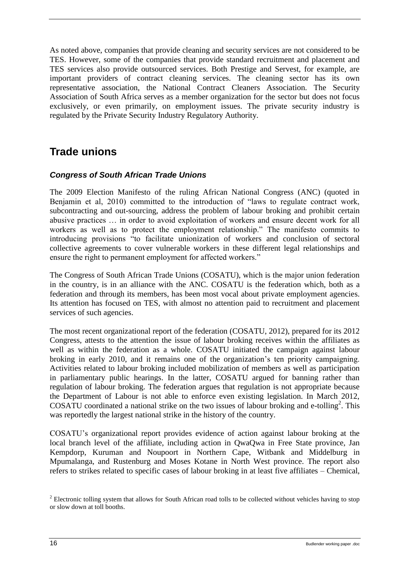As noted above, companies that provide cleaning and security services are not considered to be TES. However, some of the companies that provide standard recruitment and placement and TES services also provide outsourced services. Both Prestige and Servest, for example, are important providers of contract cleaning services. The cleaning sector has its own representative association, the National Contract Cleaners Association. The Security Association of South Africa serves as a member organization for the sector but does not focus exclusively, or even primarily, on employment issues. The private security industry is regulated by the Private Security Industry Regulatory Authority.

### <span id="page-21-0"></span>**Trade unions**

### <span id="page-21-1"></span>*Congress of South African Trade Unions*

The 2009 Election Manifesto of the ruling African National Congress (ANC) (quoted in Benjamin et al, 2010) committed to the introduction of "laws to regulate contract work, subcontracting and out-sourcing, address the problem of labour broking and prohibit certain abusive practices … in order to avoid exploitation of workers and ensure decent work for all workers as well as to protect the employment relationship." The manifesto commits to introducing provisions "to facilitate unionization of workers and conclusion of sectoral collective agreements to cover vulnerable workers in these different legal relationships and ensure the right to permanent employment for affected workers."

The Congress of South African Trade Unions (COSATU), which is the major union federation in the country, is in an alliance with the ANC. COSATU is the federation which, both as a federation and through its members, has been most vocal about private employment agencies. Its attention has focused on TES, with almost no attention paid to recruitment and placement services of such agencies.

The most recent organizational report of the federation (COSATU, 2012), prepared for its 2012 Congress, attests to the attention the issue of labour broking receives within the affiliates as well as within the federation as a whole. COSATU initiated the campaign against labour broking in early 2010, and it remains one of the organization's ten priority campaigning. Activities related to labour broking included mobilization of members as well as participation in parliamentary public hearings. In the latter, COSATU argued for banning rather than regulation of labour broking. The federation argues that regulation is not appropriate because the Department of Labour is not able to enforce even existing legislation. In March 2012, COSATU coordinated a national strike on the two issues of labour broking and e-tolling<sup>2</sup>. This was reportedly the largest national strike in the history of the country.

COSATU's organizational report provides evidence of action against labour broking at the local branch level of the affiliate, including action in QwaQwa in Free State province, Jan Kempdorp, Kuruman and Noupoort in Northern Cape, Witbank and Middelburg in Mpumalanga, and Rustenburg and Moses Kotane in North West province. The report also refers to strikes related to specific cases of labour broking in at least five affiliates – Chemical,

<sup>&</sup>lt;sup>2</sup> Electronic tolling system that allows for South African road tolls to be collected without vehicles having to stop or slow down at toll booths.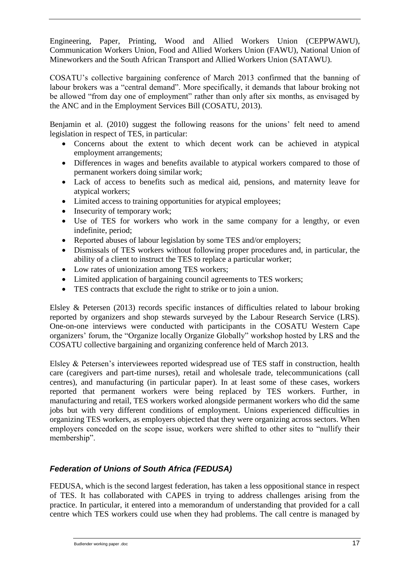Engineering, Paper, Printing, Wood and Allied Workers Union (CEPPWAWU), Communication Workers Union, Food and Allied Workers Union (FAWU), National Union of Mineworkers and the South African Transport and Allied Workers Union (SATAWU).

COSATU's collective bargaining conference of March 2013 confirmed that the banning of labour brokers was a "central demand". More specifically, it demands that labour broking not be allowed "from day one of employment" rather than only after six months, as envisaged by the ANC and in the Employment Services Bill (COSATU, 2013).

Benjamin et al. (2010) suggest the following reasons for the unions' felt need to amend legislation in respect of TES, in particular:

- Concerns about the extent to which decent work can be achieved in atypical employment arrangements;
- Differences in wages and benefits available to atypical workers compared to those of permanent workers doing similar work;
- Lack of access to benefits such as medical aid, pensions, and maternity leave for atypical workers;
- Limited access to training opportunities for atypical employees;
- Insecurity of temporary work;
- Use of TES for workers who work in the same company for a lengthy, or even indefinite, period;
- Reported abuses of labour legislation by some TES and/or employers;
- Dismissals of TES workers without following proper procedures and, in particular, the ability of a client to instruct the TES to replace a particular worker;
- Low rates of unionization among TES workers;
- Limited application of bargaining council agreements to TES workers;
- TES contracts that exclude the right to strike or to join a union.

Elsley & Petersen (2013) records specific instances of difficulties related to labour broking reported by organizers and shop stewards surveyed by the Labour Research Service (LRS). One-on-one interviews were conducted with participants in the COSATU Western Cape organizers' forum, the "Organize locally Organize Globally" workshop hosted by LRS and the COSATU collective bargaining and organizing conference held of March 2013.

Elsley & Petersen's interviewees reported widespread use of TES staff in construction, health care (caregivers and part-time nurses), retail and wholesale trade, telecommunications (call centres), and manufacturing (in particular paper). In at least some of these cases, workers reported that permanent workers were being replaced by TES workers. Further, in manufacturing and retail, TES workers worked alongside permanent workers who did the same jobs but with very different conditions of employment. Unions experienced difficulties in organizing TES workers, as employers objected that they were organizing across sectors. When employers conceded on the scope issue, workers were shifted to other sites to "nullify their membership".

### <span id="page-22-0"></span>*Federation of Unions of South Africa (FEDUSA)*

FEDUSA, which is the second largest federation, has taken a less oppositional stance in respect of TES. It has collaborated with CAPES in trying to address challenges arising from the practice. In particular, it entered into a memorandum of understanding that provided for a call centre which TES workers could use when they had problems. The call centre is managed by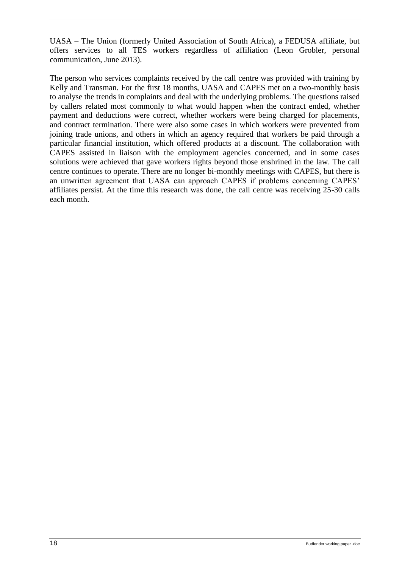UASA – The Union (formerly United Association of South Africa), a FEDUSA affiliate, but offers services to all TES workers regardless of affiliation (Leon Grobler, personal communication, June 2013).

The person who services complaints received by the call centre was provided with training by Kelly and Transman. For the first 18 months, UASA and CAPES met on a two-monthly basis to analyse the trends in complaints and deal with the underlying problems. The questions raised by callers related most commonly to what would happen when the contract ended, whether payment and deductions were correct, whether workers were being charged for placements, and contract termination. There were also some cases in which workers were prevented from joining trade unions, and others in which an agency required that workers be paid through a particular financial institution, which offered products at a discount. The collaboration with CAPES assisted in liaison with the employment agencies concerned, and in some cases solutions were achieved that gave workers rights beyond those enshrined in the law. The call centre continues to operate. There are no longer bi-monthly meetings with CAPES, but there is an unwritten agreement that UASA can approach CAPES if problems concerning CAPES' affiliates persist. At the time this research was done, the call centre was receiving 25-30 calls each month.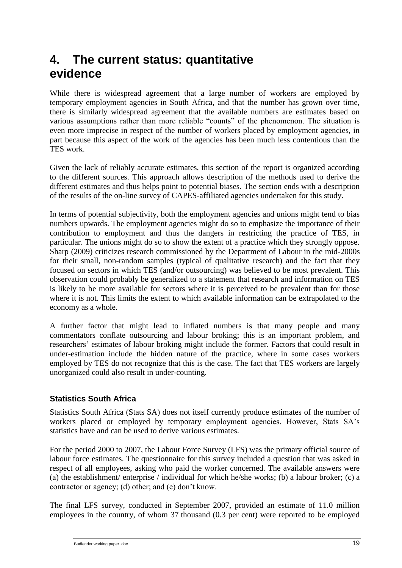# <span id="page-24-0"></span>**4. The current status: quantitative evidence**

While there is widespread agreement that a large number of workers are employed by temporary employment agencies in South Africa, and that the number has grown over time, there is similarly widespread agreement that the available numbers are estimates based on various assumptions rather than more reliable "counts" of the phenomenon. The situation is even more imprecise in respect of the number of workers placed by employment agencies, in part because this aspect of the work of the agencies has been much less contentious than the TES work.

Given the lack of reliably accurate estimates, this section of the report is organized according to the different sources. This approach allows description of the methods used to derive the different estimates and thus helps point to potential biases. The section ends with a description of the results of the on-line survey of CAPES-affiliated agencies undertaken for this study.

In terms of potential subjectivity, both the employment agencies and unions might tend to bias numbers upwards. The employment agencies might do so to emphasize the importance of their contribution to employment and thus the dangers in restricting the practice of TES, in particular. The unions might do so to show the extent of a practice which they strongly oppose. Sharp (2009) criticizes research commissioned by the Department of Labour in the mid-2000s for their small, non-random samples (typical of qualitative research) and the fact that they focused on sectors in which TES (and/or outsourcing) was believed to be most prevalent. This observation could probably be generalized to a statement that research and information on TES is likely to be more available for sectors where it is perceived to be prevalent than for those where it is not. This limits the extent to which available information can be extrapolated to the economy as a whole.

A further factor that might lead to inflated numbers is that many people and many commentators conflate outsourcing and labour broking; this is an important problem, and researchers' estimates of labour broking might include the former. Factors that could result in under-estimation include the hidden nature of the practice, where in some cases workers employed by TES do not recognize that this is the case. The fact that TES workers are largely unorganized could also result in under-counting.

### <span id="page-24-1"></span>**Statistics South Africa**

Statistics South Africa (Stats SA) does not itself currently produce estimates of the number of workers placed or employed by temporary employment agencies. However, Stats SA's statistics have and can be used to derive various estimates.

For the period 2000 to 2007, the Labour Force Survey (LFS) was the primary official source of labour force estimates. The questionnaire for this survey included a question that was asked in respect of all employees, asking who paid the worker concerned. The available answers were (a) the establishment/ enterprise / individual for which he/she works; (b) a labour broker; (c) a contractor or agency; (d) other; and (e) don't know.

The final LFS survey, conducted in September 2007, provided an estimate of 11.0 million employees in the country, of whom 37 thousand (0.3 per cent) were reported to be employed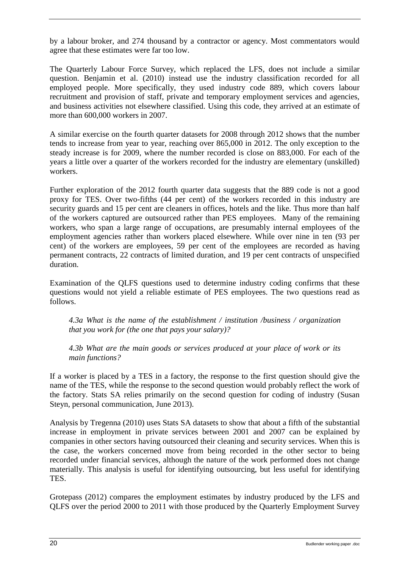by a labour broker, and 274 thousand by a contractor or agency. Most commentators would agree that these estimates were far too low.

The Quarterly Labour Force Survey, which replaced the LFS, does not include a similar question. Benjamin et al. (2010) instead use the industry classification recorded for all employed people. More specifically, they used industry code 889, which covers labour recruitment and provision of staff, private and temporary employment services and agencies, and business activities not elsewhere classified. Using this code, they arrived at an estimate of more than 600,000 workers in 2007.

A similar exercise on the fourth quarter datasets for 2008 through 2012 shows that the number tends to increase from year to year, reaching over 865,000 in 2012. The only exception to the steady increase is for 2009, where the number recorded is close on 883,000. For each of the years a little over a quarter of the workers recorded for the industry are elementary (unskilled) workers.

Further exploration of the 2012 fourth quarter data suggests that the 889 code is not a good proxy for TES. Over two-fifths (44 per cent) of the workers recorded in this industry are security guards and 15 per cent are cleaners in offices, hotels and the like. Thus more than half of the workers captured are outsourced rather than PES employees. Many of the remaining workers, who span a large range of occupations, are presumably internal employees of the employment agencies rather than workers placed elsewhere. While over nine in ten (93 per cent) of the workers are employees, 59 per cent of the employees are recorded as having permanent contracts, 22 contracts of limited duration, and 19 per cent contracts of unspecified duration.

Examination of the QLFS questions used to determine industry coding confirms that these questions would not yield a reliable estimate of PES employees. The two questions read as follows.

*4.3a What is the name of the establishment / institution /business / organization that you work for (the one that pays your salary)?*

*4.3b What are the main goods or services produced at your place of work or its main functions?*

If a worker is placed by a TES in a factory, the response to the first question should give the name of the TES, while the response to the second question would probably reflect the work of the factory. Stats SA relies primarily on the second question for coding of industry (Susan Steyn, personal communication, June 2013).

Analysis by Tregenna (2010) uses Stats SA datasets to show that about a fifth of the substantial increase in employment in private services between 2001 and 2007 can be explained by companies in other sectors having outsourced their cleaning and security services. When this is the case, the workers concerned move from being recorded in the other sector to being recorded under financial services, although the nature of the work performed does not change materially. This analysis is useful for identifying outsourcing, but less useful for identifying TES.

Grotepass (2012) compares the employment estimates by industry produced by the LFS and QLFS over the period 2000 to 2011 with those produced by the Quarterly Employment Survey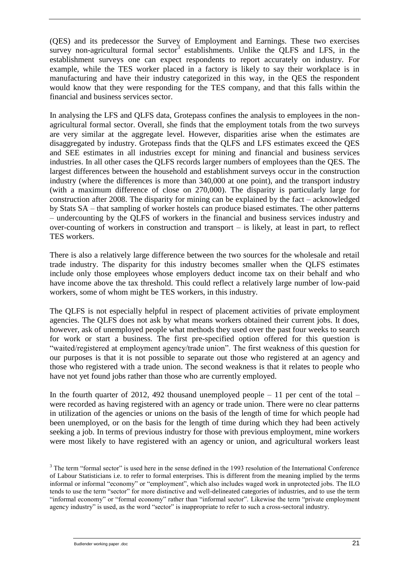(QES) and its predecessor the Survey of Employment and Earnings. These two exercises survey non-agricultural formal sector<sup>3</sup> establishments. Unlike the QLFS and LFS, in the establishment surveys one can expect respondents to report accurately on industry. For example, while the TES worker placed in a factory is likely to say their workplace is in manufacturing and have their industry categorized in this way, in the QES the respondent would know that they were responding for the TES company, and that this falls within the financial and business services sector.

In analysing the LFS and QLFS data, Grotepass confines the analysis to employees in the nonagricultural formal sector. Overall, she finds that the employment totals from the two surveys are very similar at the aggregate level. However, disparities arise when the estimates are disaggregated by industry. Grotepass finds that the QLFS and LFS estimates exceed the QES and SEE estimates in all industries except for mining and financial and business services industries. In all other cases the QLFS records larger numbers of employees than the QES. The largest differences between the household and establishment surveys occur in the construction industry (where the differences is more than 340,000 at one point), and the transport industry (with a maximum difference of close on 270,000). The disparity is particularly large for construction after 2008. The disparity for mining can be explained by the fact – acknowledged by Stats SA – that sampling of worker hostels can produce biased estimates. The other patterns – undercounting by the QLFS of workers in the financial and business services industry and over-counting of workers in construction and transport – is likely, at least in part, to reflect TES workers.

There is also a relatively large difference between the two sources for the wholesale and retail trade industry. The disparity for this industry becomes smaller when the QLFS estimates include only those employees whose employers deduct income tax on their behalf and who have income above the tax threshold. This could reflect a relatively large number of low-paid workers, some of whom might be TES workers, in this industry.

The QLFS is not especially helpful in respect of placement activities of private employment agencies. The QLFS does not ask by what means workers obtained their current jobs. It does, however, ask of unemployed people what methods they used over the past four weeks to search for work or start a business. The first pre-specified option offered for this question is "waited/registered at employment agency/trade union". The first weakness of this question for our purposes is that it is not possible to separate out those who registered at an agency and those who registered with a trade union. The second weakness is that it relates to people who have not yet found jobs rather than those who are currently employed.

In the fourth quarter of 2012, 492 thousand unemployed people  $-11$  per cent of the total  $$ were recorded as having registered with an agency or trade union. There were no clear patterns in utilization of the agencies or unions on the basis of the length of time for which people had been unemployed, or on the basis for the length of time during which they had been actively seeking a job. In terms of previous industry for those with previous employment, mine workers were most likely to have registered with an agency or union, and agricultural workers least

<sup>&</sup>lt;sup>3</sup> The term "formal sector" is used here in the sense defined in the 1993 resolution of the International Conference of Labour Statisticians i.e. to refer to formal enterprises. This is different from the meaning implied by the terms informal or informal "economy" or "employment", which also includes waged work in unprotected jobs. The ILO tends to use the term "sector" for more distinctive and well-delineated categories of industries, and to use the term "informal economy" or "formal economy" rather than "informal sector". Likewise the term "private employment agency industry" is used, as the word "sector" is inappropriate to refer to such a cross-sectoral industry.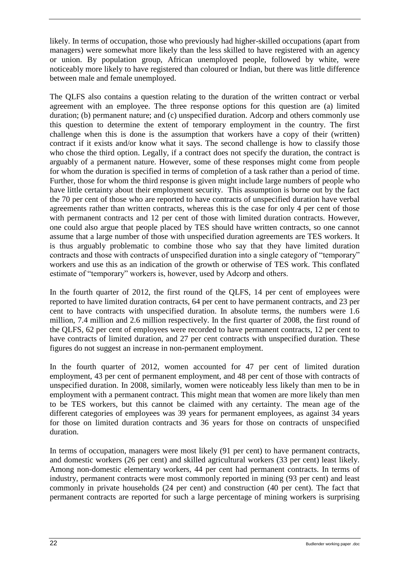likely. In terms of occupation, those who previously had higher-skilled occupations (apart from managers) were somewhat more likely than the less skilled to have registered with an agency or union. By population group, African unemployed people, followed by white, were noticeably more likely to have registered than coloured or Indian, but there was little difference between male and female unemployed.

The QLFS also contains a question relating to the duration of the written contract or verbal agreement with an employee. The three response options for this question are (a) limited duration; (b) permanent nature; and (c) unspecified duration. Adcorp and others commonly use this question to determine the extent of temporary employment in the country. The first challenge when this is done is the assumption that workers have a copy of their (written) contract if it exists and/or know what it says. The second challenge is how to classify those who chose the third option. Legally, if a contract does not specify the duration, the contract is arguably of a permanent nature. However, some of these responses might come from people for whom the duration is specified in terms of completion of a task rather than a period of time. Further, those for whom the third response is given might include large numbers of people who have little certainty about their employment security. This assumption is borne out by the fact the 70 per cent of those who are reported to have contracts of unspecified duration have verbal agreements rather than written contracts, whereas this is the case for only 4 per cent of those with permanent contracts and 12 per cent of those with limited duration contracts. However, one could also argue that people placed by TES should have written contracts, so one cannot assume that a large number of those with unspecified duration agreements are TES workers. It is thus arguably problematic to combine those who say that they have limited duration contracts and those with contracts of unspecified duration into a single category of "temporary" workers and use this as an indication of the growth or otherwise of TES work. This conflated estimate of "temporary" workers is, however, used by Adcorp and others.

In the fourth quarter of 2012, the first round of the QLFS, 14 per cent of employees were reported to have limited duration contracts, 64 per cent to have permanent contracts, and 23 per cent to have contracts with unspecified duration. In absolute terms, the numbers were 1.6 million, 7.4 million and 2.6 million respectively. In the first quarter of 2008, the first round of the QLFS, 62 per cent of employees were recorded to have permanent contracts, 12 per cent to have contracts of limited duration, and 27 per cent contracts with unspecified duration. These figures do not suggest an increase in non-permanent employment.

In the fourth quarter of 2012, women accounted for 47 per cent of limited duration employment, 43 per cent of permanent employment, and 48 per cent of those with contracts of unspecified duration. In 2008, similarly, women were noticeably less likely than men to be in employment with a permanent contract. This might mean that women are more likely than men to be TES workers, but this cannot be claimed with any certainty. The mean age of the different categories of employees was 39 years for permanent employees, as against 34 years for those on limited duration contracts and 36 years for those on contracts of unspecified duration.

In terms of occupation, managers were most likely (91 per cent) to have permanent contracts, and domestic workers (26 per cent) and skilled agricultural workers (33 per cent) least likely. Among non-domestic elementary workers, 44 per cent had permanent contracts. In terms of industry, permanent contracts were most commonly reported in mining (93 per cent) and least commonly in private households (24 per cent) and construction (40 per cent). The fact that permanent contracts are reported for such a large percentage of mining workers is surprising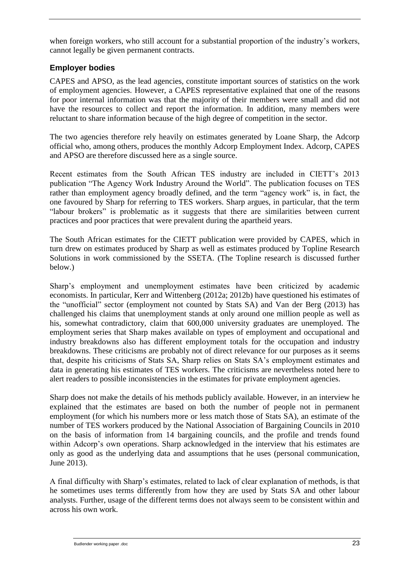when foreign workers, who still account for a substantial proportion of the industry's workers, cannot legally be given permanent contracts.

### <span id="page-28-0"></span>**Employer bodies**

CAPES and APSO, as the lead agencies, constitute important sources of statistics on the work of employment agencies. However, a CAPES representative explained that one of the reasons for poor internal information was that the majority of their members were small and did not have the resources to collect and report the information. In addition, many members were reluctant to share information because of the high degree of competition in the sector.

The two agencies therefore rely heavily on estimates generated by Loane Sharp, the Adcorp official who, among others, produces the monthly Adcorp Employment Index. Adcorp, CAPES and APSO are therefore discussed here as a single source.

Recent estimates from the South African TES industry are included in CIETT's 2013 publication "The Agency Work Industry Around the World". The publication focuses on TES rather than employment agency broadly defined, and the term "agency work" is, in fact, the one favoured by Sharp for referring to TES workers. Sharp argues, in particular, that the term "labour brokers" is problematic as it suggests that there are similarities between current practices and poor practices that were prevalent during the apartheid years.

The South African estimates for the CIETT publication were provided by CAPES, which in turn drew on estimates produced by Sharp as well as estimates produced by Topline Research Solutions in work commissioned by the SSETA. (The Topline research is discussed further below.)

Sharp's employment and unemployment estimates have been criticized by academic economists. In particular, Kerr and Wittenberg (2012a; 2012b) have questioned his estimates of the "unofficial" sector (employment not counted by Stats SA) and Van der Berg (2013) has challenged his claims that unemployment stands at only around one million people as well as his, somewhat contradictory, claim that 600,000 university graduates are unemployed. The employment series that Sharp makes available on types of employment and occupational and industry breakdowns also has different employment totals for the occupation and industry breakdowns. These criticisms are probably not of direct relevance for our purposes as it seems that, despite his criticisms of Stats SA, Sharp relies on Stats SA's employment estimates and data in generating his estimates of TES workers. The criticisms are nevertheless noted here to alert readers to possible inconsistencies in the estimates for private employment agencies.

Sharp does not make the details of his methods publicly available. However, in an interview he explained that the estimates are based on both the number of people not in permanent employment (for which his numbers more or less match those of Stats SA), an estimate of the number of TES workers produced by the National Association of Bargaining Councils in 2010 on the basis of information from 14 bargaining councils, and the profile and trends found within Adcorp's own operations. Sharp acknowledged in the interview that his estimates are only as good as the underlying data and assumptions that he uses (personal communication, June 2013).

A final difficulty with Sharp's estimates, related to lack of clear explanation of methods, is that he sometimes uses terms differently from how they are used by Stats SA and other labour analysts. Further, usage of the different terms does not always seem to be consistent within and across his own work.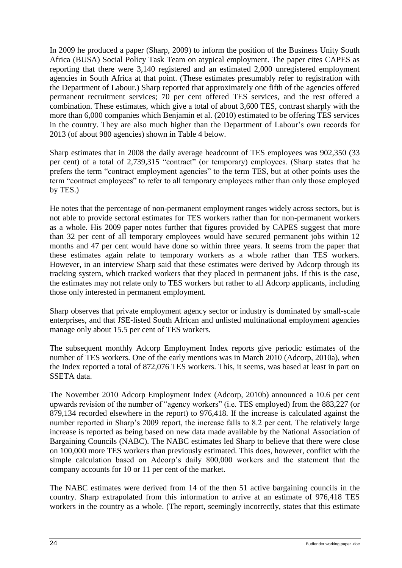In 2009 he produced a paper (Sharp, 2009) to inform the position of the Business Unity South Africa (BUSA) Social Policy Task Team on atypical employment. The paper cites CAPES as reporting that there were 3,140 registered and an estimated 2,000 unregistered employment agencies in South Africa at that point. (These estimates presumably refer to registration with the Department of Labour.) Sharp reported that approximately one fifth of the agencies offered permanent recruitment services; 70 per cent offered TES services, and the rest offered a combination. These estimates, which give a total of about 3,600 TES, contrast sharply with the more than 6,000 companies which Benjamin et al. (2010) estimated to be offering TES services in the country. They are also much higher than the Department of Labour's own records for 2013 (of about 980 agencies) shown in [Table 4](#page-38-1) below.

Sharp estimates that in 2008 the daily average headcount of TES employees was 902,350 (33 per cent) of a total of 2,739,315 "contract" (or temporary) employees. (Sharp states that he prefers the term "contract employment agencies" to the term TES, but at other points uses the term "contract employees" to refer to all temporary employees rather than only those employed by TES.)

He notes that the percentage of non-permanent employment ranges widely across sectors, but is not able to provide sectoral estimates for TES workers rather than for non-permanent workers as a whole. His 2009 paper notes further that figures provided by CAPES suggest that more than 32 per cent of all temporary employees would have secured permanent jobs within 12 months and 47 per cent would have done so within three years. It seems from the paper that these estimates again relate to temporary workers as a whole rather than TES workers. However, in an interview Sharp said that these estimates were derived by Adcorp through its tracking system, which tracked workers that they placed in permanent jobs. If this is the case, the estimates may not relate only to TES workers but rather to all Adcorp applicants, including those only interested in permanent employment.

Sharp observes that private employment agency sector or industry is dominated by small-scale enterprises, and that JSE-listed South African and unlisted multinational employment agencies manage only about 15.5 per cent of TES workers.

The subsequent monthly Adcorp Employment Index reports give periodic estimates of the number of TES workers. One of the early mentions was in March 2010 (Adcorp, 2010a), when the Index reported a total of 872,076 TES workers. This, it seems, was based at least in part on SSETA data.

The November 2010 Adcorp Employment Index (Adcorp, 2010b) announced a 10.6 per cent upwards revision of the number of "agency workers" (i.e. TES employed) from the 883,227 (or 879,134 recorded elsewhere in the report) to 976,418. If the increase is calculated against the number reported in Sharp's 2009 report, the increase falls to 8.2 per cent. The relatively large increase is reported as being based on new data made available by the National Association of Bargaining Councils (NABC). The NABC estimates led Sharp to believe that there were close on 100,000 more TES workers than previously estimated. This does, however, conflict with the simple calculation based on Adcorp's daily 800,000 workers and the statement that the company accounts for 10 or 11 per cent of the market.

The NABC estimates were derived from 14 of the then 51 active bargaining councils in the country. Sharp extrapolated from this information to arrive at an estimate of 976,418 TES workers in the country as a whole. (The report, seemingly incorrectly, states that this estimate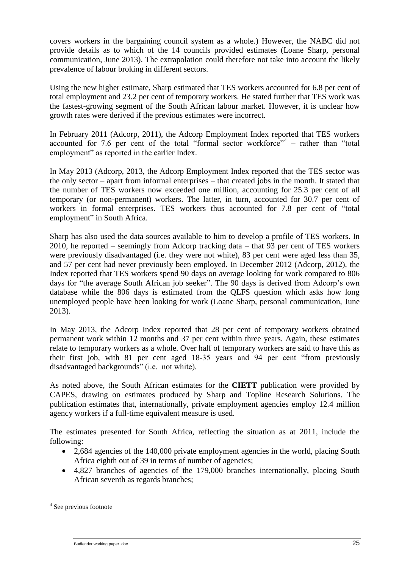covers workers in the bargaining council system as a whole.) However, the NABC did not provide details as to which of the 14 councils provided estimates (Loane Sharp, personal communication, June 2013). The extrapolation could therefore not take into account the likely prevalence of labour broking in different sectors.

Using the new higher estimate, Sharp estimated that TES workers accounted for 6.8 per cent of total employment and 23.2 per cent of temporary workers. He stated further that TES work was the fastest-growing segment of the South African labour market. However, it is unclear how growth rates were derived if the previous estimates were incorrect.

In February 2011 (Adcorp, 2011), the Adcorp Employment Index reported that TES workers accounted for 7.6 per cent of the total "formal sector workforce" $4 -$  rather than "total employment" as reported in the earlier Index.

In May 2013 (Adcorp, 2013, the Adcorp Employment Index reported that the TES sector was the only sector – apart from informal enterprises – that created jobs in the month. It stated that the number of TES workers now exceeded one million, accounting for 25.3 per cent of all temporary (or non-permanent) workers. The latter, in turn, accounted for 30.7 per cent of workers in formal enterprises. TES workers thus accounted for 7.8 per cent of "total employment" in South Africa.

Sharp has also used the data sources available to him to develop a profile of TES workers. In 2010, he reported – seemingly from Adcorp tracking data – that 93 per cent of TES workers were previously disadvantaged (i.e. they were not white), 83 per cent were aged less than 35, and 57 per cent had never previously been employed. In December 2012 (Adcorp, 2012), the Index reported that TES workers spend 90 days on average looking for work compared to 806 days for "the average South African job seeker". The 90 days is derived from Adcorp's own database while the 806 days is estimated from the QLFS question which asks how long unemployed people have been looking for work (Loane Sharp, personal communication, June 2013).

In May 2013, the Adcorp Index reported that 28 per cent of temporary workers obtained permanent work within 12 months and 37 per cent within three years. Again, these estimates relate to temporary workers as a whole. Over half of temporary workers are said to have this as their first job, with 81 per cent aged 18-35 years and 94 per cent "from previously disadvantaged backgrounds" (i.e. not white).

As noted above, the South African estimates for the **CIETT** publication were provided by CAPES, drawing on estimates produced by Sharp and Topline Research Solutions. The publication estimates that, internationally, private employment agencies employ 12.4 million agency workers if a full-time equivalent measure is used.

The estimates presented for South Africa, reflecting the situation as at 2011, include the following:

- 2,684 agencies of the 140,000 private employment agencies in the world, placing South Africa eighth out of 39 in terms of number of agencies;
- 4,827 branches of agencies of the 179,000 branches internationally, placing South African seventh as regards branches;

<sup>&</sup>lt;sup>4</sup> See previous footnote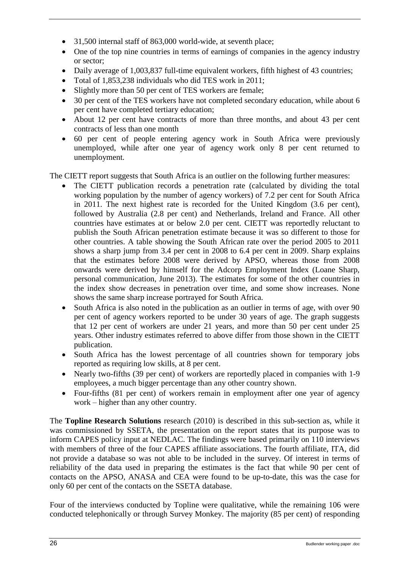- 31,500 internal staff of 863,000 world-wide, at seventh place;
- One of the top nine countries in terms of earnings of companies in the agency industry or sector;
- Daily average of 1,003,837 full-time equivalent workers, fifth highest of 43 countries;
- Total of 1,853,238 individuals who did TES work in 2011;
- Slightly more than 50 per cent of TES workers are female;
- 30 per cent of the TES workers have not completed secondary education, while about 6 per cent have completed tertiary education;
- About 12 per cent have contracts of more than three months, and about 43 per cent contracts of less than one month
- 60 per cent of people entering agency work in South Africa were previously unemployed, while after one year of agency work only 8 per cent returned to unemployment.

The CIETT report suggests that South Africa is an outlier on the following further measures:

- The CIETT publication records a penetration rate (calculated by dividing the total working population by the number of agency workers) of 7.2 per cent for South Africa in 2011. The next highest rate is recorded for the United Kingdom (3.6 per cent), followed by Australia (2.8 per cent) and Netherlands, Ireland and France. All other countries have estimates at or below 2.0 per cent. CIETT was reportedly reluctant to publish the South African penetration estimate because it was so different to those for other countries. A table showing the South African rate over the period 2005 to 2011 shows a sharp jump from 3.4 per cent in 2008 to 6.4 per cent in 2009. Sharp explains that the estimates before 2008 were derived by APSO, whereas those from 2008 onwards were derived by himself for the Adcorp Employment Index (Loane Sharp, personal communication, June 2013). The estimates for some of the other countries in the index show decreases in penetration over time, and some show increases. None shows the same sharp increase portrayed for South Africa.
- South Africa is also noted in the publication as an outlier in terms of age, with over 90 per cent of agency workers reported to be under 30 years of age. The graph suggests that 12 per cent of workers are under 21 years, and more than 50 per cent under 25 years. Other industry estimates referred to above differ from those shown in the CIETT publication.
- South Africa has the lowest percentage of all countries shown for temporary jobs reported as requiring low skills, at 8 per cent.
- Nearly two-fifths (39 per cent) of workers are reportedly placed in companies with 1-9 employees, a much bigger percentage than any other country shown.
- Four-fifths (81 per cent) of workers remain in employment after one year of agency work – higher than any other country.

The **Topline Research Solutions** research (2010) is described in this sub-section as, while it was commissioned by SSETA, the presentation on the report states that its purpose was to inform CAPES policy input at NEDLAC. The findings were based primarily on 110 interviews with members of three of the four CAPES affiliate associations. The fourth affiliate, ITA, did not provide a database so was not able to be included in the survey. Of interest in terms of reliability of the data used in preparing the estimates is the fact that while 90 per cent of contacts on the APSO, ANASA and CEA were found to be up-to-date, this was the case for only 60 per cent of the contacts on the SSETA database.

Four of the interviews conducted by Topline were qualitative, while the remaining 106 were conducted telephonically or through Survey Monkey. The majority (85 per cent) of responding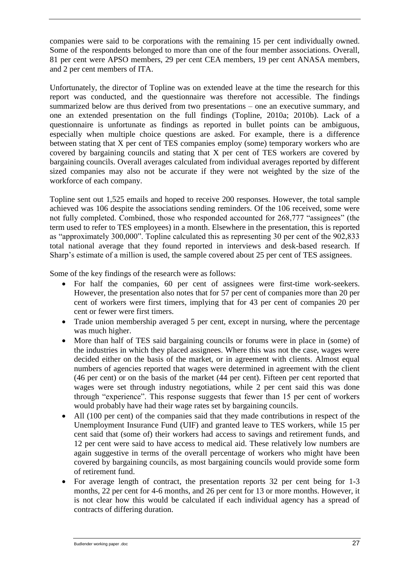companies were said to be corporations with the remaining 15 per cent individually owned. Some of the respondents belonged to more than one of the four member associations. Overall, 81 per cent were APSO members, 29 per cent CEA members, 19 per cent ANASA members, and 2 per cent members of ITA.

Unfortunately, the director of Topline was on extended leave at the time the research for this report was conducted, and the questionnaire was therefore not accessible. The findings summarized below are thus derived from two presentations – one an executive summary, and one an extended presentation on the full findings (Topline, 2010a; 2010b). Lack of a questionnaire is unfortunate as findings as reported in bullet points can be ambiguous, especially when multiple choice questions are asked. For example, there is a difference between stating that X per cent of TES companies employ (some) temporary workers who are covered by bargaining councils and stating that X per cent of TES workers are covered by bargaining councils. Overall averages calculated from individual averages reported by different sized companies may also not be accurate if they were not weighted by the size of the workforce of each company.

Topline sent out 1,525 emails and hoped to receive 200 responses. However, the total sample achieved was 106 despite the associations sending reminders. Of the 106 received, some were not fully completed. Combined, those who responded accounted for 268,777 "assignees" (the term used to refer to TES employees) in a month. Elsewhere in the presentation, this is reported as "approximately 300,000". Topline calculated this as representing 30 per cent of the 902,833 total national average that they found reported in interviews and desk-based research. If Sharp's estimate of a million is used, the sample covered about 25 per cent of TES assignees.

Some of the key findings of the research were as follows:

- For half the companies, 60 per cent of assignees were first-time work-seekers. However, the presentation also notes that for 57 per cent of companies more than 20 per cent of workers were first timers, implying that for 43 per cent of companies 20 per cent or fewer were first timers.
- Trade union membership averaged 5 per cent, except in nursing, where the percentage was much higher.
- More than half of TES said bargaining councils or forums were in place in (some) of the industries in which they placed assignees. Where this was not the case, wages were decided either on the basis of the market, or in agreement with clients. Almost equal numbers of agencies reported that wages were determined in agreement with the client (46 per cent) or on the basis of the market (44 per cent). Fifteen per cent reported that wages were set through industry negotiations, while 2 per cent said this was done through "experience". This response suggests that fewer than 15 per cent of workers would probably have had their wage rates set by bargaining councils.
- All (100 per cent) of the companies said that they made contributions in respect of the Unemployment Insurance Fund (UIF) and granted leave to TES workers, while 15 per cent said that (some of) their workers had access to savings and retirement funds, and 12 per cent were said to have access to medical aid. These relatively low numbers are again suggestive in terms of the overall percentage of workers who might have been covered by bargaining councils, as most bargaining councils would provide some form of retirement fund.
- For average length of contract, the presentation reports 32 per cent being for 1-3 months, 22 per cent for 4-6 months, and 26 per cent for 13 or more months. However, it is not clear how this would be calculated if each individual agency has a spread of contracts of differing duration.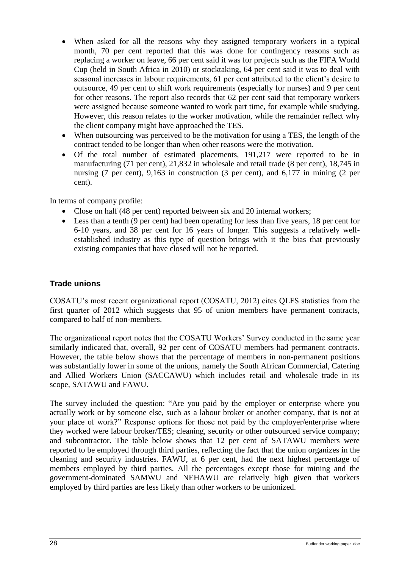- When asked for all the reasons why they assigned temporary workers in a typical month, 70 per cent reported that this was done for contingency reasons such as replacing a worker on leave, 66 per cent said it was for projects such as the FIFA World Cup (held in South Africa in 2010) or stocktaking, 64 per cent said it was to deal with seasonal increases in labour requirements, 61 per cent attributed to the client's desire to outsource, 49 per cent to shift work requirements (especially for nurses) and 9 per cent for other reasons. The report also records that 62 per cent said that temporary workers were assigned because someone wanted to work part time, for example while studying. However, this reason relates to the worker motivation, while the remainder reflect why the client company might have approached the TES.
- When outsourcing was perceived to be the motivation for using a TES, the length of the contract tended to be longer than when other reasons were the motivation.
- Of the total number of estimated placements, 191,217 were reported to be in manufacturing (71 per cent), 21,832 in wholesale and retail trade (8 per cent), 18,745 in nursing (7 per cent), 9,163 in construction (3 per cent), and 6,177 in mining (2 per cent).

In terms of company profile:

- Close on half (48 per cent) reported between six and 20 internal workers;
- Less than a tenth (9 per cent) had been operating for less than five years, 18 per cent for 6-10 years, and 38 per cent for 16 years of longer. This suggests a relatively wellestablished industry as this type of question brings with it the bias that previously existing companies that have closed will not be reported.

### <span id="page-33-0"></span>**Trade unions**

COSATU's most recent organizational report (COSATU, 2012) cites QLFS statistics from the first quarter of 2012 which suggests that 95 of union members have permanent contracts, compared to half of non-members.

The organizational report notes that the COSATU Workers' Survey conducted in the same year similarly indicated that, overall, 92 per cent of COSATU members had permanent contracts. However, the table below shows that the percentage of members in non-permanent positions was substantially lower in some of the unions, namely the South African Commercial, Catering and Allied Workers Union (SACCAWU) which includes retail and wholesale trade in its scope, SATAWU and FAWU.

The survey included the question: "Are you paid by the employer or enterprise where you actually work or by someone else, such as a labour broker or another company, that is not at your place of work?" Response options for those not paid by the employer/enterprise where they worked were labour broker/TES; cleaning, security or other outsourced service company; and subcontractor. The table below shows that 12 per cent of SATAWU members were reported to be employed through third parties, reflecting the fact that the union organizes in the cleaning and security industries. FAWU, at 6 per cent, had the next highest percentage of members employed by third parties. All the percentages except those for mining and the government-dominated SAMWU and NEHAWU are relatively high given that workers employed by third parties are less likely than other workers to be unionized.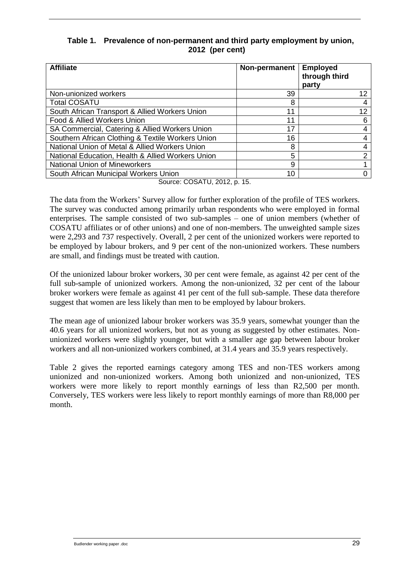### **Table 1. Prevalence of non-permanent and third party employment by union, 2012 (per cent)**

| <b>Affiliate</b>                                  | Non-permanent | <b>Employed</b><br>through third<br>party |
|---------------------------------------------------|---------------|-------------------------------------------|
| Non-unionized workers                             | 39            | 12                                        |
| <b>Total COSATU</b>                               | 8             | 4                                         |
| South African Transport & Allied Workers Union    | 11            | 12                                        |
| Food & Allied Workers Union                       | 11            |                                           |
| SA Commercial, Catering & Allied Workers Union    | 17            | 4                                         |
| Southern African Clothing & Textile Workers Union | 16            | 4                                         |
| National Union of Metal & Allied Workers Union    | 8             | 4                                         |
| National Education, Health & Allied Workers Union | 5             | ⌒                                         |
| <b>National Union of Mineworkers</b>              | 9             |                                           |
| South African Municipal Workers Union             | 10            |                                           |

Source: COSATU, 2012, p. 15.

The data from the Workers' Survey allow for further exploration of the profile of TES workers. The survey was conducted among primarily urban respondents who were employed in formal enterprises. The sample consisted of two sub-samples – one of union members (whether of COSATU affiliates or of other unions) and one of non-members. The unweighted sample sizes were 2,293 and 737 respectively. Overall, 2 per cent of the unionized workers were reported to be employed by labour brokers, and 9 per cent of the non-unionized workers. These numbers are small, and findings must be treated with caution.

Of the unionized labour broker workers, 30 per cent were female, as against 42 per cent of the full sub-sample of unionized workers. Among the non-unionized, 32 per cent of the labour broker workers were female as against 41 per cent of the full sub-sample. These data therefore suggest that women are less likely than men to be employed by labour brokers.

The mean age of unionized labour broker workers was 35.9 years, somewhat younger than the 40.6 years for all unionized workers, but not as young as suggested by other estimates. Nonunionized workers were slightly younger, but with a smaller age gap between labour broker workers and all non-unionized workers combined, at 31.4 years and 35.9 years respectively.

[Table 2](#page-35-1) gives the reported earnings category among TES and non-TES workers among unionized and non-unionized workers. Among both unionized and non-unionized, TES workers were more likely to report monthly earnings of less than R2,500 per month. Conversely, TES workers were less likely to report monthly earnings of more than R8,000 per month.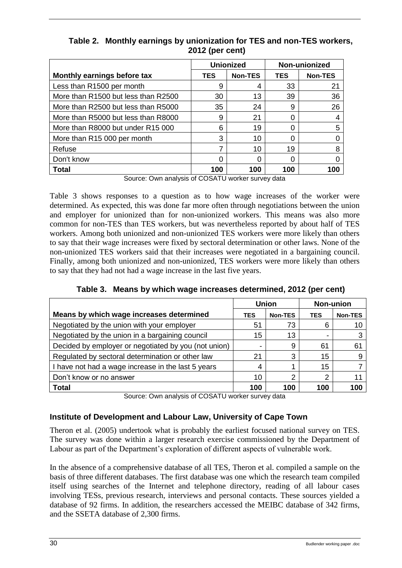|                                     | <b>Unionized</b> |         |            | Non-unionized  |  |
|-------------------------------------|------------------|---------|------------|----------------|--|
| Monthly earnings before tax         | <b>TES</b>       | Non-TES | <b>TES</b> | <b>Non-TES</b> |  |
| Less than R1500 per month           | 9                | 4       | 33         | 21             |  |
| More than R1500 but less than R2500 | 30               | 13      | 39         | 36             |  |
| More than R2500 but less than R5000 | 35               | 24      | 9          | 26             |  |
| More than R5000 but less than R8000 | 9                | 21      | 0          |                |  |
| More than R8000 but under R15 000   | 6                | 19      | 0          | 5              |  |
| More than R15 000 per month         | 3                | 10      | 0          |                |  |
| Refuse                              |                  | 10      | 19         |                |  |
| Don't know                          |                  |         | 0          |                |  |
| Total                               | 100              | 100     | 100        | 100            |  |

<span id="page-35-1"></span>**Table 2. Monthly earnings by unionization for TES and non-TES workers, 2012 (per cent)**

Source: Own analysis of COSATU worker survey data

[Table 3](#page-35-2) shows responses to a question as to how wage increases of the worker were determined. As expected, this was done far more often through negotiations between the union and employer for unionized than for non-unionized workers. This means was also more common for non-TES than TES workers, but was nevertheless reported by about half of TES workers. Among both unionized and non-unionized TES workers were more likely than others to say that their wage increases were fixed by sectoral determination or other laws. None of the non-unionized TES workers said that their increases were negotiated in a bargaining council. Finally, among both unionized and non-unionized, TES workers were more likely than others to say that they had not had a wage increase in the last five years.

<span id="page-35-2"></span>

|                                                      | <b>Union</b> |                | <b>Non-union</b> |                |
|------------------------------------------------------|--------------|----------------|------------------|----------------|
| Means by which wage increases determined             | <b>TES</b>   | <b>Non-TES</b> | <b>TES</b>       | <b>Non-TES</b> |
| Negotiated by the union with your employer           | 51           | 73             | 6                | 10             |
| Negotiated by the union in a bargaining council      | 15           | 13             |                  | 3              |
| Decided by employer or negotiated by you (not union) |              | 9              | 61               | 61             |
| Regulated by sectoral determination or other law     | 21           | 3              | 15               | 9              |
| I have not had a wage increase in the last 5 years   |              |                | 15               |                |
| Don't know or no answer                              | 10           | റ              | ◠                | 11             |
| <b>Total</b>                                         | 100          | 100            | 100              | 100            |

|  | Table 3. Means by which wage increases determined, 2012 (per cent) |  |  |
|--|--------------------------------------------------------------------|--|--|
|  |                                                                    |  |  |

Source: Own analysis of COSATU worker survey data

### <span id="page-35-0"></span>**Institute of Development and Labour Law, University of Cape Town**

Theron et al. (2005) undertook what is probably the earliest focused national survey on TES. The survey was done within a larger research exercise commissioned by the Department of Labour as part of the Department's exploration of different aspects of vulnerable work.

In the absence of a comprehensive database of all TES, Theron et al. compiled a sample on the basis of three different databases. The first database was one which the research team compiled itself using searches of the Internet and telephone directory, reading of all labour cases involving TESs, previous research, interviews and personal contacts. These sources yielded a database of 92 firms. In addition, the researchers accessed the MEIBC database of 342 firms, and the SSETA database of 2,300 firms.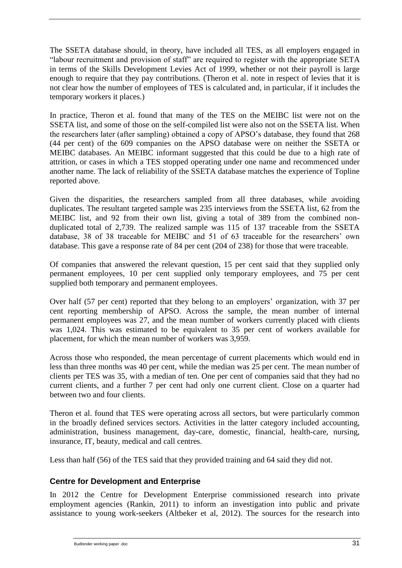The SSETA database should, in theory, have included all TES, as all employers engaged in "labour recruitment and provision of staff" are required to register with the appropriate SETA in terms of the Skills Development Levies Act of 1999, whether or not their payroll is large enough to require that they pay contributions. (Theron et al. note in respect of levies that it is not clear how the number of employees of TES is calculated and, in particular, if it includes the temporary workers it places.)

In practice, Theron et al. found that many of the TES on the MEIBC list were not on the SSETA list, and some of those on the self-compiled list were also not on the SSETA list. When the researchers later (after sampling) obtained a copy of APSO's database, they found that 268 (44 per cent) of the 609 companies on the APSO database were on neither the SSETA or MEIBC databases. An MEIBC informant suggested that this could be due to a high rate of attrition, or cases in which a TES stopped operating under one name and recommenced under another name. The lack of reliability of the SSETA database matches the experience of Topline reported above.

Given the disparities, the researchers sampled from all three databases, while avoiding duplicates. The resultant targeted sample was 235 interviews from the SSETA list, 62 from the MEIBC list, and 92 from their own list, giving a total of 389 from the combined nonduplicated total of 2,739. The realized sample was 115 of 137 traceable from the SSETA database, 38 of 38 traceable for MEIBC and 51 of 63 traceable for the researchers' own database. This gave a response rate of 84 per cent (204 of 238) for those that were traceable.

Of companies that answered the relevant question, 15 per cent said that they supplied only permanent employees, 10 per cent supplied only temporary employees, and 75 per cent supplied both temporary and permanent employees.

Over half (57 per cent) reported that they belong to an employers' organization, with 37 per cent reporting membership of APSO. Across the sample, the mean number of internal permanent employees was 27, and the mean number of workers currently placed with clients was 1,024. This was estimated to be equivalent to 35 per cent of workers available for placement, for which the mean number of workers was 3,959.

Across those who responded, the mean percentage of current placements which would end in less than three months was 40 per cent, while the median was 25 per cent. The mean number of clients per TES was 35, with a median of ten. One per cent of companies said that they had no current clients, and a further 7 per cent had only one current client. Close on a quarter had between two and four clients.

Theron et al. found that TES were operating across all sectors, but were particularly common in the broadly defined services sectors. Activities in the latter category included accounting, administration, business management, day-care, domestic, financial, health-care, nursing, insurance, IT, beauty, medical and call centres.

<span id="page-36-0"></span>Less than half (56) of the TES said that they provided training and 64 said they did not.

### **Centre for Development and Enterprise**

In 2012 the Centre for Development Enterprise commissioned research into private employment agencies (Rankin, 2011) to inform an investigation into public and private assistance to young work-seekers (Altbeker et al, 2012). The sources for the research into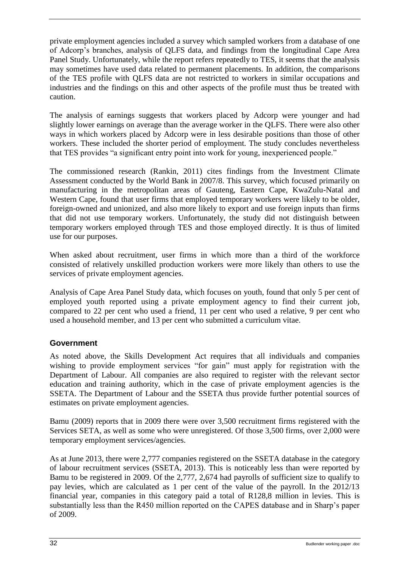private employment agencies included a survey which sampled workers from a database of one of Adcorp's branches, analysis of QLFS data, and findings from the longitudinal Cape Area Panel Study. Unfortunately, while the report refers repeatedly to TES, it seems that the analysis may sometimes have used data related to permanent placements. In addition, the comparisons of the TES profile with QLFS data are not restricted to workers in similar occupations and industries and the findings on this and other aspects of the profile must thus be treated with caution.

The analysis of earnings suggests that workers placed by Adcorp were younger and had slightly lower earnings on average than the average worker in the QLFS. There were also other ways in which workers placed by Adcorp were in less desirable positions than those of other workers. These included the shorter period of employment. The study concludes nevertheless that TES provides "a significant entry point into work for young, inexperienced people."

The commissioned research (Rankin, 2011) cites findings from the Investment Climate Assessment conducted by the World Bank in 2007/8. This survey, which focused primarily on manufacturing in the metropolitan areas of Gauteng, Eastern Cape, KwaZulu-Natal and Western Cape, found that user firms that employed temporary workers were likely to be older, foreign-owned and unionized, and also more likely to export and use foreign inputs than firms that did not use temporary workers. Unfortunately, the study did not distinguish between temporary workers employed through TES and those employed directly. It is thus of limited use for our purposes.

When asked about recruitment, user firms in which more than a third of the workforce consisted of relatively unskilled production workers were more likely than others to use the services of private employment agencies.

Analysis of Cape Area Panel Study data, which focuses on youth, found that only 5 per cent of employed youth reported using a private employment agency to find their current job, compared to 22 per cent who used a friend, 11 per cent who used a relative, 9 per cent who used a household member, and 13 per cent who submitted a curriculum vitae.

### <span id="page-37-0"></span>**Government**

As noted above, the Skills Development Act requires that all individuals and companies wishing to provide employment services "for gain" must apply for registration with the Department of Labour. All companies are also required to register with the relevant sector education and training authority, which in the case of private employment agencies is the SSETA. The Department of Labour and the SSETA thus provide further potential sources of estimates on private employment agencies.

Bamu (2009) reports that in 2009 there were over 3,500 recruitment firms registered with the Services SETA, as well as some who were unregistered. Of those 3,500 firms, over 2,000 were temporary employment services/agencies.

As at June 2013, there were 2,777 companies registered on the SSETA database in the category of labour recruitment services (SSETA, 2013). This is noticeably less than were reported by Bamu to be registered in 2009. Of the 2,777, 2,674 had payrolls of sufficient size to qualify to pay levies, which are calculated as 1 per cent of the value of the payroll. In the 2012/13 financial year, companies in this category paid a total of R128,8 million in levies. This is substantially less than the R450 million reported on the CAPES database and in Sharp's paper of 2009.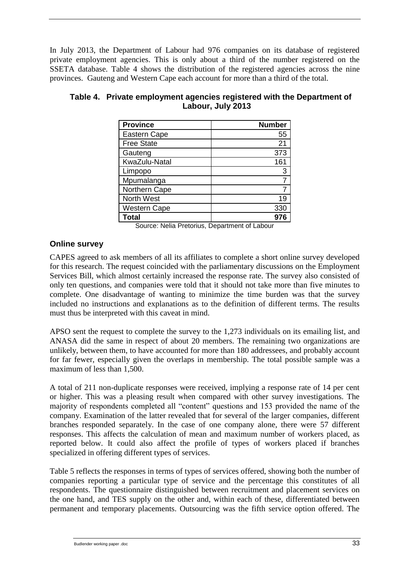In July 2013, the Department of Labour had 976 companies on its database of registered private employment agencies. This is only about a third of the number registered on the SSETA database. [Table 4](#page-38-1) shows the distribution of the registered agencies across the nine provinces. Gauteng and Western Cape each account for more than a third of the total.

| <b>Province</b>     | <b>Number</b>  |
|---------------------|----------------|
| <b>Eastern Cape</b> | 55             |
| <b>Free State</b>   | 21             |
| Gauteng             | 373            |
| KwaZulu-Natal       | 161            |
| Limpopo             | 3              |
| Mpumalanga          | $\overline{7}$ |
| Northern Cape       |                |
| North West          | 19             |
| <b>Western Cape</b> | 330            |
| <b>Total</b>        |                |

### <span id="page-38-1"></span>**Table 4. Private employment agencies registered with the Department of Labour, July 2013**

Source: Nelia Pretorius, Department of Labour

### <span id="page-38-0"></span>**Online survey**

CAPES agreed to ask members of all its affiliates to complete a short online survey developed for this research. The request coincided with the parliamentary discussions on the Employment Services Bill, which almost certainly increased the response rate. The survey also consisted of only ten questions, and companies were told that it should not take more than five minutes to complete. One disadvantage of wanting to minimize the time burden was that the survey included no instructions and explanations as to the definition of different terms. The results must thus be interpreted with this caveat in mind.

APSO sent the request to complete the survey to the 1,273 individuals on its emailing list, and ANASA did the same in respect of about 20 members. The remaining two organizations are unlikely, between them, to have accounted for more than 180 addressees, and probably account for far fewer, especially given the overlaps in membership. The total possible sample was a maximum of less than 1,500.

A total of 211 non-duplicate responses were received, implying a response rate of 14 per cent or higher. This was a pleasing result when compared with other survey investigations. The majority of respondents completed all "content" questions and 153 provided the name of the company. Examination of the latter revealed that for several of the larger companies, different branches responded separately. In the case of one company alone, there were 57 different responses. This affects the calculation of mean and maximum number of workers placed, as reported below. It could also affect the profile of types of workers placed if branches specialized in offering different types of services.

[Table 5](#page-39-0) reflects the responses in terms of types of services offered, showing both the number of companies reporting a particular type of service and the percentage this constitutes of all respondents. The questionnaire distinguished between recruitment and placement services on the one hand, and TES supply on the other and, within each of these, differentiated between permanent and temporary placements. Outsourcing was the fifth service option offered. The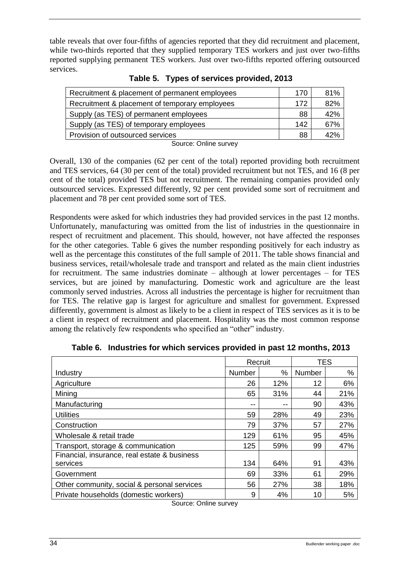table reveals that over four-fifths of agencies reported that they did recruitment and placement, while two-thirds reported that they supplied temporary TES workers and just over two-fifths reported supplying permanent TES workers. Just over two-fifths reported offering outsourced services.

<span id="page-39-0"></span>

| Recruitment & placement of permanent employees | 170 | 81% |
|------------------------------------------------|-----|-----|
| Recruitment & placement of temporary employees | 172 | 82% |
| Supply (as TES) of permanent employees         | 88  | 42% |
| Supply (as TES) of temporary employees         | 142 | 67% |
| Provision of outsourced services               | 88  | 42% |
| Source: Online survey                          |     |     |

**Table 5. Types of services provided, 2013**

Overall, 130 of the companies (62 per cent of the total) reported providing both recruitment and TES services, 64 (30 per cent of the total) provided recruitment but not TES, and 16 (8 per cent of the total) provided TES but not recruitment. The remaining companies provided only outsourced services. Expressed differently, 92 per cent provided some sort of recruitment and placement and 78 per cent provided some sort of TES.

Respondents were asked for which industries they had provided services in the past 12 months. Unfortunately, manufacturing was omitted from the list of industries in the questionnaire in respect of recruitment and placement. This should, however, not have affected the responses for the other categories. [Table 6](#page-39-1) gives the number responding positively for each industry as well as the percentage this constitutes of the full sample of 2011. The table shows financial and business services, retail/wholesale trade and transport and related as the main client industries for recruitment. The same industries dominate – although at lower percentages – for TES services, but are joined by manufacturing. Domestic work and agriculture are the least commonly served industries. Across all industries the percentage is higher for recruitment than for TES. The relative gap is largest for agriculture and smallest for government. Expressed differently, government is almost as likely to be a client in respect of TES services as it is to be a client in respect of recruitment and placement. Hospitality was the most common response among the relatively few respondents who specified an "other" industry.

<span id="page-39-1"></span>

|                                              | Recruit |       | <b>TES</b> |     |
|----------------------------------------------|---------|-------|------------|-----|
| Industry                                     | Number  | $\%$  | Number     | %   |
| Agriculture                                  | 26      | 12%   | 12         | 6%  |
| Mining                                       | 65      | 31%   | 44         | 21% |
| Manufacturing                                | --      | $- -$ | 90         | 43% |
| <b>Utilities</b>                             | 59      | 28%   | 49         | 23% |
| Construction                                 | 79      | 37%   | 57         | 27% |
| Wholesale & retail trade                     | 129     | 61%   | 95         | 45% |
| Transport, storage & communication           | 125     | 59%   | 99         | 47% |
| Financial, insurance, real estate & business |         |       |            |     |
| services                                     | 134     | 64%   | 91         | 43% |
| Government                                   | 69      | 33%   | 61         | 29% |
| Other community, social & personal services  | 56      | 27%   | 38         | 18% |
| Private households (domestic workers)        | 9       | 4%    | 10         | 5%  |

**Table 6. Industries for which services provided in past 12 months, 2013**

Source: Online survey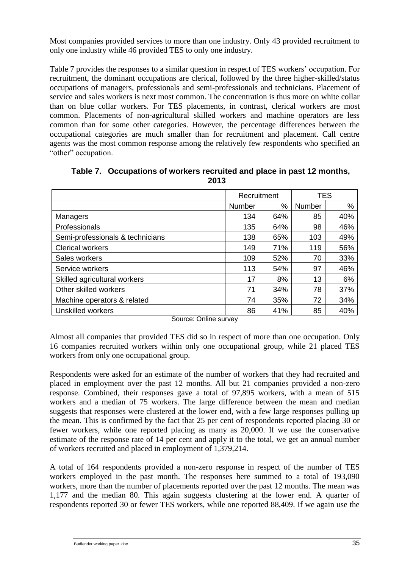Most companies provided services to more than one industry. Only 43 provided recruitment to only one industry while 46 provided TES to only one industry.

[Table 7](#page-40-0) provides the responses to a similar question in respect of TES workers' occupation. For recruitment, the dominant occupations are clerical, followed by the three higher-skilled/status occupations of managers, professionals and semi-professionals and technicians. Placement of service and sales workers is next most common. The concentration is thus more on white collar than on blue collar workers. For TES placements, in contrast, clerical workers are most common. Placements of non-agricultural skilled workers and machine operators are less common than for some other categories. However, the percentage differences between the occupational categories are much smaller than for recruitment and placement. Call centre agents was the most common response among the relatively few respondents who specified an "other" occupation.

<span id="page-40-0"></span>

|                                  | Recruitment |     | <b>TES</b> |     |
|----------------------------------|-------------|-----|------------|-----|
|                                  | Number      | %   | Number     | %   |
| Managers                         | 134         | 64% | 85         | 40% |
| Professionals                    | 135         | 64% | 98         | 46% |
| Semi-professionals & technicians | 138         | 65% | 103        | 49% |
| <b>Clerical workers</b>          | 149         | 71% | 119        | 56% |
| Sales workers                    | 109         | 52% | 70         | 33% |
| Service workers                  | 113         | 54% | 97         | 46% |
| Skilled agricultural workers     | 17          | 8%  | 13         | 6%  |
| Other skilled workers            | 71          | 34% | 78         | 37% |
| Machine operators & related      | 74          | 35% | 72         | 34% |
| Unskilled workers                | 86          | 41% | 85         | 40% |

**Table 7. Occupations of workers recruited and place in past 12 months, 2013**

Source: Online survey

Almost all companies that provided TES did so in respect of more than one occupation. Only 16 companies recruited workers within only one occupational group, while 21 placed TES workers from only one occupational group.

Respondents were asked for an estimate of the number of workers that they had recruited and placed in employment over the past 12 months. All but 21 companies provided a non-zero response. Combined, their responses gave a total of 97,895 workers, with a mean of 515 workers and a median of 75 workers. The large difference between the mean and median suggests that responses were clustered at the lower end, with a few large responses pulling up the mean. This is confirmed by the fact that 25 per cent of respondents reported placing 30 or fewer workers, while one reported placing as many as 20,000. If we use the conservative estimate of the response rate of 14 per cent and apply it to the total, we get an annual number of workers recruited and placed in employment of 1,379,214.

A total of 164 respondents provided a non-zero response in respect of the number of TES workers employed in the past month. The responses here summed to a total of 193,090 workers, more than the number of placements reported over the past 12 months. The mean was 1,177 and the median 80. This again suggests clustering at the lower end. A quarter of respondents reported 30 or fewer TES workers, while one reported 88,409. If we again use the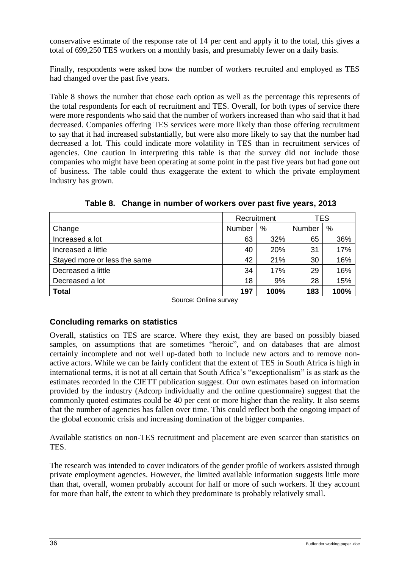conservative estimate of the response rate of 14 per cent and apply it to the total, this gives a total of 699,250 TES workers on a monthly basis, and presumably fewer on a daily basis.

Finally, respondents were asked how the number of workers recruited and employed as TES had changed over the past five years.

[Table 8](#page-41-1) shows the number that chose each option as well as the percentage this represents of the total respondents for each of recruitment and TES. Overall, for both types of service there were more respondents who said that the number of workers increased than who said that it had decreased. Companies offering TES services were more likely than those offering recruitment to say that it had increased substantially, but were also more likely to say that the number had decreased a lot. This could indicate more volatility in TES than in recruitment services of agencies. One caution in interpreting this table is that the survey did not include those companies who might have been operating at some point in the past five years but had gone out of business. The table could thus exaggerate the extent to which the private employment industry has grown.

<span id="page-41-1"></span>

|                              | Recruitment |      | TES    |      |
|------------------------------|-------------|------|--------|------|
| Change                       | Number      | %    | Number | %    |
| Increased a lot              | 63          | 32%  | 65     | 36%  |
| Increased a little           | 40          | 20%  | 31     | 17%  |
| Stayed more or less the same | 42          | 21%  | 30     | 16%  |
| Decreased a little           | 34          | 17%  | 29     | 16%  |
| Decreased a lot              | 18          | 9%   | 28     | 15%  |
| <b>Total</b>                 | 197         | 100% | 183    | 100% |

**Table 8. Change in number of workers over past five years, 2013**

Source: Online survey

### <span id="page-41-0"></span>**Concluding remarks on statistics**

Overall, statistics on TES are scarce. Where they exist, they are based on possibly biased samples, on assumptions that are sometimes "heroic", and on databases that are almost certainly incomplete and not well up-dated both to include new actors and to remove nonactive actors. While we can be fairly confident that the extent of TES in South Africa is high in international terms, it is not at all certain that South Africa's "exceptionalism" is as stark as the estimates recorded in the CIETT publication suggest. Our own estimates based on information provided by the industry (Adcorp individually and the online questionnaire) suggest that the commonly quoted estimates could be 40 per cent or more higher than the reality. It also seems that the number of agencies has fallen over time. This could reflect both the ongoing impact of the global economic crisis and increasing domination of the bigger companies.

Available statistics on non-TES recruitment and placement are even scarcer than statistics on TES.

The research was intended to cover indicators of the gender profile of workers assisted through private employment agencies. However, the limited available information suggests little more than that, overall, women probably account for half or more of such workers. If they account for more than half, the extent to which they predominate is probably relatively small.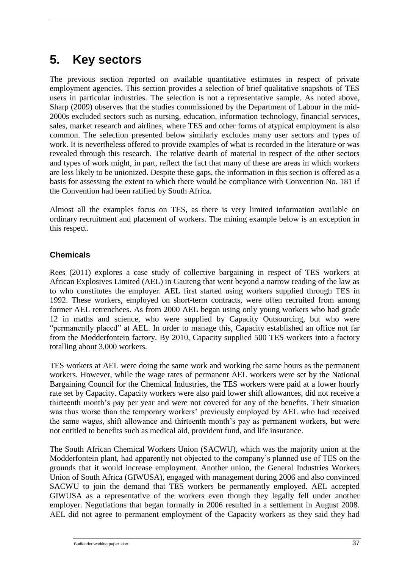# <span id="page-42-0"></span>**5. Key sectors**

The previous section reported on available quantitative estimates in respect of private employment agencies. This section provides a selection of brief qualitative snapshots of TES users in particular industries. The selection is not a representative sample. As noted above, Sharp (2009) observes that the studies commissioned by the Department of Labour in the mid-2000s excluded sectors such as nursing, education, information technology, financial services, sales, market research and airlines, where TES and other forms of atypical employment is also common. The selection presented below similarly excludes many user sectors and types of work. It is nevertheless offered to provide examples of what is recorded in the literature or was revealed through this research. The relative dearth of material in respect of the other sectors and types of work might, in part, reflect the fact that many of these are areas in which workers are less likely to be unionized. Despite these gaps, the information in this section is offered as a basis for assessing the extent to which there would be compliance with Convention No. 181 if the Convention had been ratified by South Africa.

Almost all the examples focus on TES, as there is very limited information available on ordinary recruitment and placement of workers. The mining example below is an exception in this respect.

### <span id="page-42-1"></span>**Chemicals**

Rees (2011) explores a case study of collective bargaining in respect of TES workers at African Explosives Limited (AEL) in Gauteng that went beyond a narrow reading of the law as to who constitutes the employer. AEL first started using workers supplied through TES in 1992. These workers, employed on short-term contracts, were often recruited from among former AEL retrenchees. As from 2000 AEL began using only young workers who had grade 12 in maths and science, who were supplied by Capacity Outsourcing, but who were "permanently placed" at AEL. In order to manage this, Capacity established an office not far from the Modderfontein factory. By 2010, Capacity supplied 500 TES workers into a factory totalling about 3,000 workers.

TES workers at AEL were doing the same work and working the same hours as the permanent workers. However, while the wage rates of permanent AEL workers were set by the National Bargaining Council for the Chemical Industries, the TES workers were paid at a lower hourly rate set by Capacity. Capacity workers were also paid lower shift allowances, did not receive a thirteenth month's pay per year and were not covered for any of the benefits. Their situation was thus worse than the temporary workers' previously employed by AEL who had received the same wages, shift allowance and thirteenth month's pay as permanent workers, but were not entitled to benefits such as medical aid, provident fund, and life insurance.

The South African Chemical Workers Union (SACWU), which was the majority union at the Modderfontein plant, had apparently not objected to the company's planned use of TES on the grounds that it would increase employment. Another union, the General Industries Workers Union of South Africa (GIWUSA), engaged with management during 2006 and also convinced SACWU to join the demand that TES workers be permanently employed. AEL accepted GIWUSA as a representative of the workers even though they legally fell under another employer. Negotiations that began formally in 2006 resulted in a settlement in August 2008. AEL did not agree to permanent employment of the Capacity workers as they said they had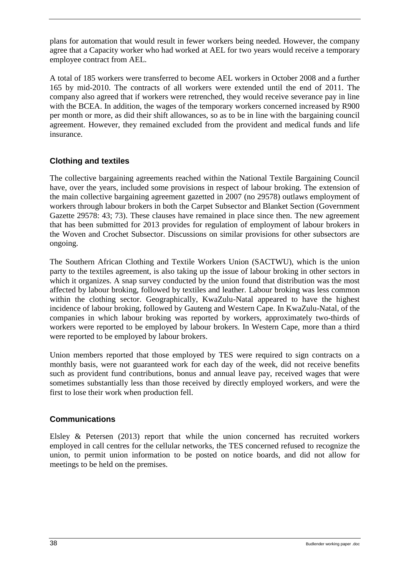plans for automation that would result in fewer workers being needed. However, the company agree that a Capacity worker who had worked at AEL for two years would receive a temporary employee contract from AEL.

A total of 185 workers were transferred to become AEL workers in October 2008 and a further 165 by mid-2010. The contracts of all workers were extended until the end of 2011. The company also agreed that if workers were retrenched, they would receive severance pay in line with the BCEA. In addition, the wages of the temporary workers concerned increased by R900 per month or more, as did their shift allowances, so as to be in line with the bargaining council agreement. However, they remained excluded from the provident and medical funds and life insurance.

### <span id="page-43-0"></span>**Clothing and textiles**

The collective bargaining agreements reached within the National Textile Bargaining Council have, over the years, included some provisions in respect of labour broking. The extension of the main collective bargaining agreement gazetted in 2007 (no 29578) outlaws employment of workers through labour brokers in both the Carpet Subsector and Blanket Section (Government Gazette 29578: 43; 73). These clauses have remained in place since then. The new agreement that has been submitted for 2013 provides for regulation of employment of labour brokers in the Woven and Crochet Subsector. Discussions on similar provisions for other subsectors are ongoing.

The Southern African Clothing and Textile Workers Union (SACTWU), which is the union party to the textiles agreement, is also taking up the issue of labour broking in other sectors in which it organizes. A snap survey conducted by the union found that distribution was the most affected by labour broking, followed by textiles and leather. Labour broking was less common within the clothing sector. Geographically, KwaZulu-Natal appeared to have the highest incidence of labour broking, followed by Gauteng and Western Cape. In KwaZulu-Natal, of the companies in which labour broking was reported by workers, approximately two-thirds of workers were reported to be employed by labour brokers. In Western Cape, more than a third were reported to be employed by labour brokers.

Union members reported that those employed by TES were required to sign contracts on a monthly basis, were not guaranteed work for each day of the week, did not receive benefits such as provident fund contributions, bonus and annual leave pay, received wages that were sometimes substantially less than those received by directly employed workers, and were the first to lose their work when production fell.

### <span id="page-43-1"></span>**Communications**

Elsley & Petersen (2013) report that while the union concerned has recruited workers employed in call centres for the cellular networks, the TES concerned refused to recognize the union, to permit union information to be posted on notice boards, and did not allow for meetings to be held on the premises.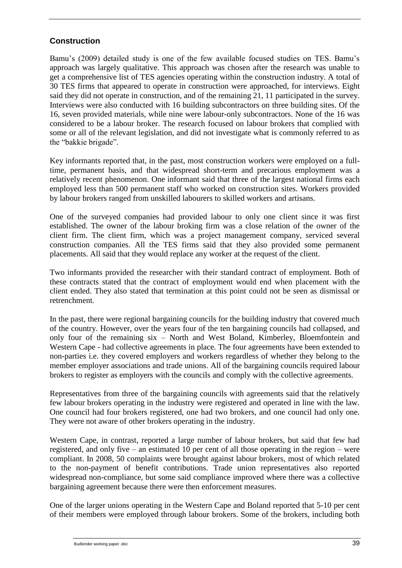### <span id="page-44-0"></span>**Construction**

Bamu's (2009) detailed study is one of the few available focused studies on TES. Bamu's approach was largely qualitative. This approach was chosen after the research was unable to get a comprehensive list of TES agencies operating within the construction industry. A total of 30 TES firms that appeared to operate in construction were approached, for interviews. Eight said they did not operate in construction, and of the remaining 21, 11 participated in the survey. Interviews were also conducted with 16 building subcontractors on three building sites. Of the 16, seven provided materials, while nine were labour-only subcontractors. None of the 16 was considered to be a labour broker. The research focused on labour brokers that complied with some or all of the relevant legislation, and did not investigate what is commonly referred to as the "bakkie brigade".

Key informants reported that, in the past, most construction workers were employed on a fulltime, permanent basis, and that widespread short-term and precarious employment was a relatively recent phenomenon. One informant said that three of the largest national firms each employed less than 500 permanent staff who worked on construction sites. Workers provided by labour brokers ranged from unskilled labourers to skilled workers and artisans.

One of the surveyed companies had provided labour to only one client since it was first established. The owner of the labour broking firm was a close relation of the owner of the client firm. The client firm, which was a project management company, serviced several construction companies. All the TES firms said that they also provided some permanent placements. All said that they would replace any worker at the request of the client.

Two informants provided the researcher with their standard contract of employment. Both of these contracts stated that the contract of employment would end when placement with the client ended. They also stated that termination at this point could not be seen as dismissal or retrenchment.

In the past, there were regional bargaining councils for the building industry that covered much of the country. However, over the years four of the ten bargaining councils had collapsed, and only four of the remaining six – North and West Boland, Kimberley, Bloemfontein and Western Cape - had collective agreements in place. The four agreements have been extended to non-parties i.e. they covered employers and workers regardless of whether they belong to the member employer associations and trade unions. All of the bargaining councils required labour brokers to register as employers with the councils and comply with the collective agreements.

Representatives from three of the bargaining councils with agreements said that the relatively few labour brokers operating in the industry were registered and operated in line with the law. One council had four brokers registered, one had two brokers, and one council had only one. They were not aware of other brokers operating in the industry.

Western Cape, in contrast, reported a large number of labour brokers, but said that few had registered, and only five – an estimated 10 per cent of all those operating in the region – were compliant. In 2008, 50 complaints were brought against labour brokers, most of which related to the non-payment of benefit contributions. Trade union representatives also reported widespread non-compliance, but some said compliance improved where there was a collective bargaining agreement because there were then enforcement measures.

One of the larger unions operating in the Western Cape and Boland reported that 5-10 per cent of their members were employed through labour brokers. Some of the brokers, including both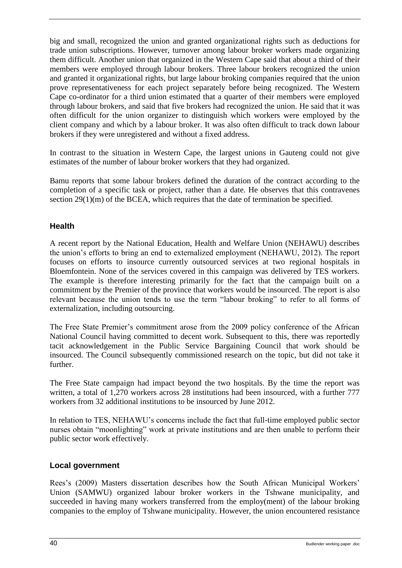big and small, recognized the union and granted organizational rights such as deductions for trade union subscriptions. However, turnover among labour broker workers made organizing them difficult. Another union that organized in the Western Cape said that about a third of their members were employed through labour brokers. Three labour brokers recognized the union and granted it organizational rights, but large labour broking companies required that the union prove representativeness for each project separately before being recognized. The Western Cape co-ordinator for a third union estimated that a quarter of their members were employed through labour brokers, and said that five brokers had recognized the union. He said that it was often difficult for the union organizer to distinguish which workers were employed by the client company and which by a labour broker. It was also often difficult to track down labour brokers if they were unregistered and without a fixed address.

In contrast to the situation in Western Cape, the largest unions in Gauteng could not give estimates of the number of labour broker workers that they had organized.

Bamu reports that some labour brokers defined the duration of the contract according to the completion of a specific task or project, rather than a date. He observes that this contravenes section  $29(1)(m)$  of the BCEA, which requires that the date of termination be specified.

### <span id="page-45-0"></span>**Health**

A recent report by the National Education, Health and Welfare Union (NEHAWU) describes the union's efforts to bring an end to externalized employment (NEHAWU, 2012). The report focuses on efforts to insource currently outsourced services at two regional hospitals in Bloemfontein. None of the services covered in this campaign was delivered by TES workers. The example is therefore interesting primarily for the fact that the campaign built on a commitment by the Premier of the province that workers would be insourced. The report is also relevant because the union tends to use the term "labour broking" to refer to all forms of externalization, including outsourcing.

The Free State Premier's commitment arose from the 2009 policy conference of the African National Council having committed to decent work. Subsequent to this, there was reportedly tacit acknowledgement in the Public Service Bargaining Council that work should be insourced. The Council subsequently commissioned research on the topic, but did not take it further.

The Free State campaign had impact beyond the two hospitals. By the time the report was written, a total of 1,270 workers across 28 institutions had been insourced, with a further 777 workers from 32 additional institutions to be insourced by June 2012.

In relation to TES, NEHAWU's concerns include the fact that full-time employed public sector nurses obtain "moonlighting" work at private institutions and are then unable to perform their public sector work effectively.

### <span id="page-45-1"></span>**Local government**

Rees's (2009) Masters dissertation describes how the South African Municipal Workers' Union (SAMWU) organized labour broker workers in the Tshwane municipality, and succeeded in having many workers transferred from the employ(ment) of the labour broking companies to the employ of Tshwane municipality. However, the union encountered resistance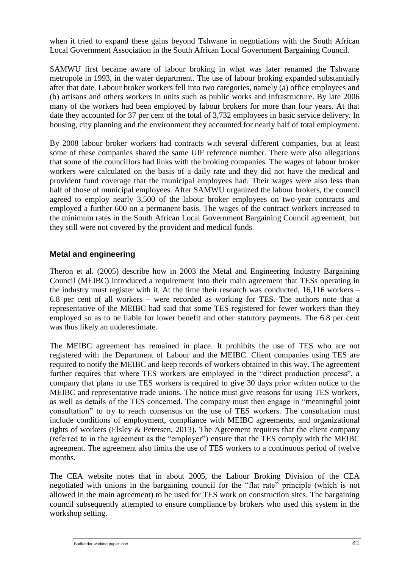when it tried to expand these gains beyond Tshwane in negotiations with the South African Local Government Association in the South African Local Government Bargaining Council.

SAMWU first became aware of labour broking in what was later renamed the Tshwane metropole in 1993, in the water department. The use of labour broking expanded substantially after that date. Labour broker workers fell into two categories, namely (a) office employees and (b) artisans and others workers in units such as public works and infrastructure. By late 2006 many of the workers had been employed by labour brokers for more than four years. At that date they accounted for 37 per cent of the total of 3,732 employees in basic service delivery. In housing, city planning and the environment they accounted for nearly half of total employment.

By 2008 labour broker workers had contracts with several different companies, but at least some of these companies shared the same UIF reference number. There were also allegations that some of the councillors had links with the broking companies. The wages of labour broker workers were calculated on the basis of a daily rate and they did not have the medical and provident fund coverage that the municipal employees had. Their wages were also less than half of those of municipal employees. After SAMWU organized the labour brokers, the council agreed to employ nearly 3,500 of the labour broker employees on two-year contracts and employed a further 600 on a permanent basis. The wages of the contract workers increased to the minimum rates in the South African Local Government Bargaining Council agreement, but they still were not covered by the provident and medical funds.

### <span id="page-46-0"></span>**Metal and engineering**

Theron et al. (2005) describe how in 2003 the Metal and Engineering Industry Bargaining Council (MEIBC) introduced a requirement into their main agreement that TESs operating in the industry must register with it. At the time their research was conducted, 16,116 workers – 6.8 per cent of all workers – were recorded as working for TES. The authors note that a representative of the MEIBC had said that some TES registered for fewer workers than they employed so as to be liable for lower benefit and other statutory payments. The 6.8 per cent was thus likely an underestimate.

The MEIBC agreement has remained in place. It prohibits the use of TES who are not registered with the Department of Labour and the MEIBC. Client companies using TES are required to notify the MEIBC and keep records of workers obtained in this way. The agreement further requires that where TES workers are employed in the "direct production process", a company that plans to use TES workers is required to give 30 days prior written notice to the MEIBC and representative trade unions. The notice must give reasons for using TES workers, as well as details of the TES concerned. The company must then engage in "meaningful joint consultation" to try to reach consensus on the use of TES workers. The consultation must include conditions of employment, compliance with MEIBC agreements, and organizational rights of workers (Elsley & Petersen, 2013). The Agreement requires that the client company (referred to in the agreement as the "employer") ensure that the TES comply with the MEIBC agreement. The agreement also limits the use of TES workers to a continuous period of twelve months.

The CEA website notes that in about 2005, the Labour Broking Division of the CEA negotiated with unions in the bargaining council for the "flat rate" principle (which is not allowed in the main agreement) to be used for TES work on construction sites. The bargaining council subsequently attempted to ensure compliance by brokers who used this system in the workshop setting.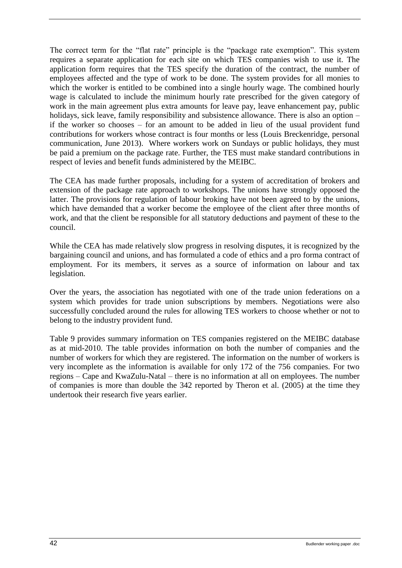The correct term for the "flat rate" principle is the "package rate exemption". This system requires a separate application for each site on which TES companies wish to use it. The application form requires that the TES specify the duration of the contract, the number of employees affected and the type of work to be done. The system provides for all monies to which the worker is entitled to be combined into a single hourly wage. The combined hourly wage is calculated to include the minimum hourly rate prescribed for the given category of work in the main agreement plus extra amounts for leave pay, leave enhancement pay, public holidays, sick leave, family responsibility and subsistence allowance. There is also an option – if the worker so chooses – for an amount to be added in lieu of the usual provident fund contributions for workers whose contract is four months or less (Louis Breckenridge, personal communication, June 2013). Where workers work on Sundays or public holidays, they must be paid a premium on the package rate. Further, the TES must make standard contributions in respect of levies and benefit funds administered by the MEIBC.

The CEA has made further proposals, including for a system of accreditation of brokers and extension of the package rate approach to workshops. The unions have strongly opposed the latter. The provisions for regulation of labour broking have not been agreed to by the unions, which have demanded that a worker become the employee of the client after three months of work, and that the client be responsible for all statutory deductions and payment of these to the council.

While the CEA has made relatively slow progress in resolving disputes, it is recognized by the bargaining council and unions, and has formulated a code of ethics and a pro forma contract of employment. For its members, it serves as a source of information on labour and tax legislation.

Over the years, the association has negotiated with one of the trade union federations on a system which provides for trade union subscriptions by members. Negotiations were also successfully concluded around the rules for allowing TES workers to choose whether or not to belong to the industry provident fund.

[Table 9](#page-48-1) provides summary information on TES companies registered on the MEIBC database as at mid-2010. The table provides information on both the number of companies and the number of workers for which they are registered. The information on the number of workers is very incomplete as the information is available for only 172 of the 756 companies. For two regions – Cape and KwaZulu-Natal – there is no information at all on employees. The number of companies is more than double the 342 reported by Theron et al. (2005) at the time they undertook their research five years earlier.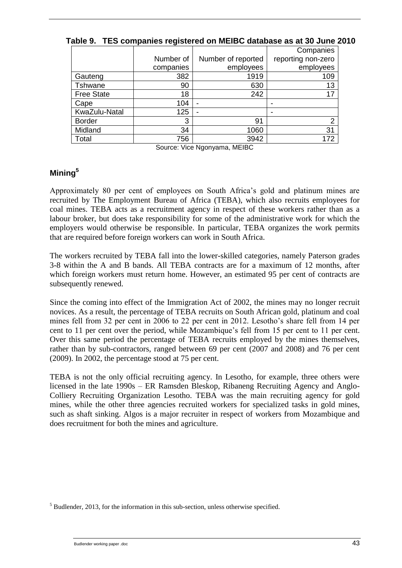|                   |           |                    | Companies          |
|-------------------|-----------|--------------------|--------------------|
|                   | Number of | Number of reported | reporting non-zero |
|                   | companies | employees          | employees          |
| Gauteng           | 382       | 1919               | 109                |
| Tshwane           | 90        | 630                | 13                 |
| <b>Free State</b> | 18        | 242                | 17                 |
| Cape              | 104       | -                  |                    |
| KwaZulu-Natal     | 125       | -                  |                    |
| <b>Border</b>     | 3         | 91                 | っ                  |
| Midland           | 34        | 1060               | 31                 |
| Total             | 756       | 3942               | 172                |

<span id="page-48-1"></span>**Table 9. TES companies registered on MEIBC database as at 30 June 2010**

Source: Vice Ngonyama, MEIBC

### <span id="page-48-0"></span>**Mining<sup>5</sup>**

Approximately 80 per cent of employees on South Africa's gold and platinum mines are recruited by The Employment Bureau of Africa (TEBA), which also recruits employees for coal mines. TEBA acts as a recruitment agency in respect of these workers rather than as a labour broker, but does take responsibility for some of the administrative work for which the employers would otherwise be responsible. In particular, TEBA organizes the work permits that are required before foreign workers can work in South Africa.

The workers recruited by TEBA fall into the lower-skilled categories, namely Paterson grades 3-8 within the A and B bands. All TEBA contracts are for a maximum of 12 months, after which foreign workers must return home. However, an estimated 95 per cent of contracts are subsequently renewed.

Since the coming into effect of the Immigration Act of 2002, the mines may no longer recruit novices. As a result, the percentage of TEBA recruits on South African gold, platinum and coal mines fell from 32 per cent in 2006 to 22 per cent in 2012. Lesotho's share fell from 14 per cent to 11 per cent over the period, while Mozambique's fell from 15 per cent to 11 per cent. Over this same period the percentage of TEBA recruits employed by the mines themselves, rather than by sub-contractors, ranged between 69 per cent (2007 and 2008) and 76 per cent (2009). In 2002, the percentage stood at 75 per cent.

TEBA is not the only official recruiting agency. In Lesotho, for example, three others were licensed in the late 1990s – ER Ramsden Bleskop, Ribaneng Recruiting Agency and Anglo-Colliery Recruiting Organization Lesotho. TEBA was the main recruiting agency for gold mines, while the other three agencies recruited workers for specialized tasks in gold mines, such as shaft sinking. Algos is a major recruiter in respect of workers from Mozambique and does recruitment for both the mines and agriculture.

 $<sup>5</sup>$  Budlender, 2013, for the information in this sub-section, unless otherwise specified.</sup>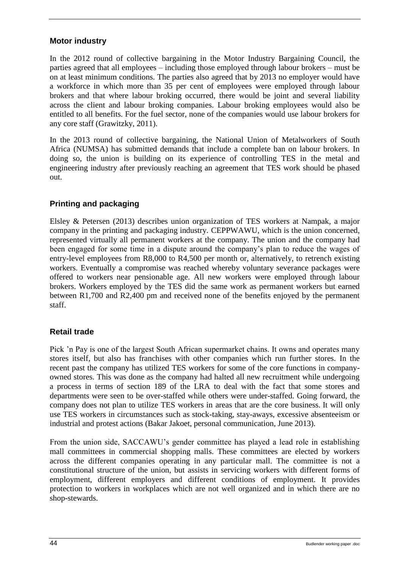### <span id="page-49-0"></span>**Motor industry**

In the 2012 round of collective bargaining in the Motor Industry Bargaining Council, the parties agreed that all employees – including those employed through labour brokers – must be on at least minimum conditions. The parties also agreed that by 2013 no employer would have a workforce in which more than 35 per cent of employees were employed through labour brokers and that where labour broking occurred, there would be joint and several liability across the client and labour broking companies. Labour broking employees would also be entitled to all benefits. For the fuel sector, none of the companies would use labour brokers for any core staff (Grawitzky, 2011).

In the 2013 round of collective bargaining, the National Union of Metalworkers of South Africa (NUMSA) has submitted demands that include a complete ban on labour brokers. In doing so, the union is building on its experience of controlling TES in the metal and engineering industry after previously reaching an agreement that TES work should be phased out.

### <span id="page-49-1"></span>**Printing and packaging**

Elsley & Petersen (2013) describes union organization of TES workers at Nampak, a major company in the printing and packaging industry. CEPPWAWU, which is the union concerned, represented virtually all permanent workers at the company. The union and the company had been engaged for some time in a dispute around the company's plan to reduce the wages of entry-level employees from R8,000 to R4,500 per month or, alternatively, to retrench existing workers. Eventually a compromise was reached whereby voluntary severance packages were offered to workers near pensionable age. All new workers were employed through labour brokers. Workers employed by the TES did the same work as permanent workers but earned between R1,700 and R2,400 pm and received none of the benefits enjoyed by the permanent staff.

### <span id="page-49-2"></span>**Retail trade**

Pick 'n Pay is one of the largest South African supermarket chains. It owns and operates many stores itself, but also has franchises with other companies which run further stores. In the recent past the company has utilized TES workers for some of the core functions in companyowned stores. This was done as the company had halted all new recruitment while undergoing a process in terms of section 189 of the LRA to deal with the fact that some stores and departments were seen to be over-staffed while others were under-staffed. Going forward, the company does not plan to utilize TES workers in areas that are the core business. It will only use TES workers in circumstances such as stock-taking, stay-aways, excessive absenteeism or industrial and protest actions (Bakar Jakoet, personal communication, June 2013).

From the union side, SACCAWU's gender committee has played a lead role in establishing mall committees in commercial shopping malls. These committees are elected by workers across the different companies operating in any particular mall. The committee is not a constitutional structure of the union, but assists in servicing workers with different forms of employment, different employers and different conditions of employment. It provides protection to workers in workplaces which are not well organized and in which there are no shop-stewards.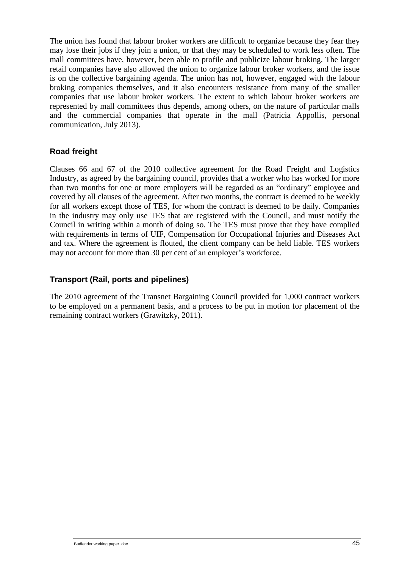The union has found that labour broker workers are difficult to organize because they fear they may lose their jobs if they join a union, or that they may be scheduled to work less often. The mall committees have, however, been able to profile and publicize labour broking. The larger retail companies have also allowed the union to organize labour broker workers, and the issue is on the collective bargaining agenda. The union has not, however, engaged with the labour broking companies themselves, and it also encounters resistance from many of the smaller companies that use labour broker workers. The extent to which labour broker workers are represented by mall committees thus depends, among others, on the nature of particular malls and the commercial companies that operate in the mall (Patricia Appollis, personal communication, July 2013).

### <span id="page-50-0"></span>**Road freight**

Clauses 66 and 67 of the 2010 collective agreement for the Road Freight and Logistics Industry, as agreed by the bargaining council, provides that a worker who has worked for more than two months for one or more employers will be regarded as an "ordinary" employee and covered by all clauses of the agreement. After two months, the contract is deemed to be weekly for all workers except those of TES, for whom the contract is deemed to be daily. Companies in the industry may only use TES that are registered with the Council, and must notify the Council in writing within a month of doing so. The TES must prove that they have complied with requirements in terms of UIF, Compensation for Occupational Injuries and Diseases Act and tax. Where the agreement is flouted, the client company can be held liable. TES workers may not account for more than 30 per cent of an employer's workforce.

### <span id="page-50-1"></span>**Transport (Rail, ports and pipelines)**

The 2010 agreement of the Transnet Bargaining Council provided for 1,000 contract workers to be employed on a permanent basis, and a process to be put in motion for placement of the remaining contract workers (Grawitzky, 2011).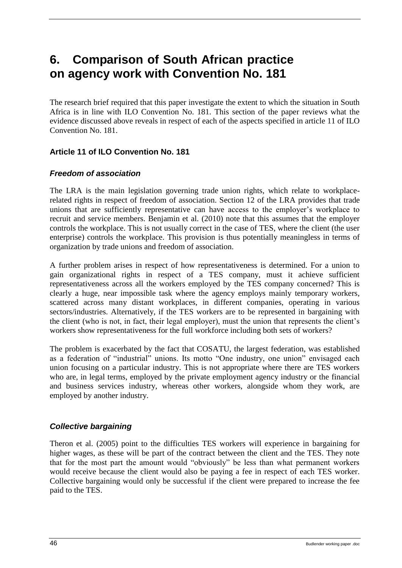# <span id="page-51-0"></span>**6. Comparison of South African practice on agency work with Convention No. 181**

The research brief required that this paper investigate the extent to which the situation in South Africa is in line with ILO Convention No. 181. This section of the paper reviews what the evidence discussed above reveals in respect of each of the aspects specified in article 11 of ILO Convention No. 181.

### <span id="page-51-1"></span>**Article 11 of ILO Convention No. 181**

### <span id="page-51-2"></span>*Freedom of association*

The LRA is the main legislation governing trade union rights, which relate to workplacerelated rights in respect of freedom of association. Section 12 of the LRA provides that trade unions that are sufficiently representative can have access to the employer's workplace to recruit and service members. Benjamin et al. (2010) note that this assumes that the employer controls the workplace. This is not usually correct in the case of TES, where the client (the user enterprise) controls the workplace. This provision is thus potentially meaningless in terms of organization by trade unions and freedom of association.

A further problem arises in respect of how representativeness is determined. For a union to gain organizational rights in respect of a TES company, must it achieve sufficient representativeness across all the workers employed by the TES company concerned? This is clearly a huge, near impossible task where the agency employs mainly temporary workers, scattered across many distant workplaces, in different companies, operating in various sectors/industries. Alternatively, if the TES workers are to be represented in bargaining with the client (who is not, in fact, their legal employer), must the union that represents the client's workers show representativeness for the full workforce including both sets of workers?

The problem is exacerbated by the fact that COSATU, the largest federation, was established as a federation of "industrial" unions. Its motto "One industry, one union" envisaged each union focusing on a particular industry. This is not appropriate where there are TES workers who are, in legal terms, employed by the private employment agency industry or the financial and business services industry, whereas other workers, alongside whom they work, are employed by another industry.

### <span id="page-51-3"></span>*Collective bargaining*

Theron et al. (2005) point to the difficulties TES workers will experience in bargaining for higher wages, as these will be part of the contract between the client and the TES. They note that for the most part the amount would "obviously" be less than what permanent workers would receive because the client would also be paying a fee in respect of each TES worker. Collective bargaining would only be successful if the client were prepared to increase the fee paid to the TES.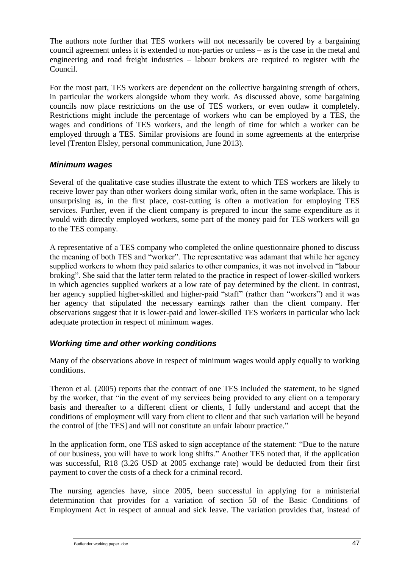The authors note further that TES workers will not necessarily be covered by a bargaining council agreement unless it is extended to non-parties or unless – as is the case in the metal and engineering and road freight industries – labour brokers are required to register with the Council.

For the most part, TES workers are dependent on the collective bargaining strength of others, in particular the workers alongside whom they work. As discussed above, some bargaining councils now place restrictions on the use of TES workers, or even outlaw it completely. Restrictions might include the percentage of workers who can be employed by a TES, the wages and conditions of TES workers, and the length of time for which a worker can be employed through a TES. Similar provisions are found in some agreements at the enterprise level (Trenton Elsley, personal communication, June 2013).

### <span id="page-52-0"></span>*Minimum wages*

Several of the qualitative case studies illustrate the extent to which TES workers are likely to receive lower pay than other workers doing similar work, often in the same workplace. This is unsurprising as, in the first place, cost-cutting is often a motivation for employing TES services. Further, even if the client company is prepared to incur the same expenditure as it would with directly employed workers, some part of the money paid for TES workers will go to the TES company.

A representative of a TES company who completed the online questionnaire phoned to discuss the meaning of both TES and "worker". The representative was adamant that while her agency supplied workers to whom they paid salaries to other companies, it was not involved in "labour broking". She said that the latter term related to the practice in respect of lower-skilled workers in which agencies supplied workers at a low rate of pay determined by the client. In contrast, her agency supplied higher-skilled and higher-paid "staff" (rather than "workers") and it was her agency that stipulated the necessary earnings rather than the client company. Her observations suggest that it is lower-paid and lower-skilled TES workers in particular who lack adequate protection in respect of minimum wages.

### <span id="page-52-1"></span>*Working time and other working conditions*

Many of the observations above in respect of minimum wages would apply equally to working conditions.

Theron et al. (2005) reports that the contract of one TES included the statement, to be signed by the worker, that "in the event of my services being provided to any client on a temporary basis and thereafter to a different client or clients, I fully understand and accept that the conditions of employment will vary from client to client and that such variation will be beyond the control of [the TES] and will not constitute an unfair labour practice*.*"

In the application form, one TES asked to sign acceptance of the statement: "Due to the nature of our business, you will have to work long shifts*.*" Another TES noted that, if the application was successful, R18 (3.26 USD at 2005 exchange rate) would be deducted from their first payment to cover the costs of a check for a criminal record.

The nursing agencies have, since 2005, been successful in applying for a ministerial determination that provides for a variation of section 50 of the Basic Conditions of Employment Act in respect of annual and sick leave. The variation provides that, instead of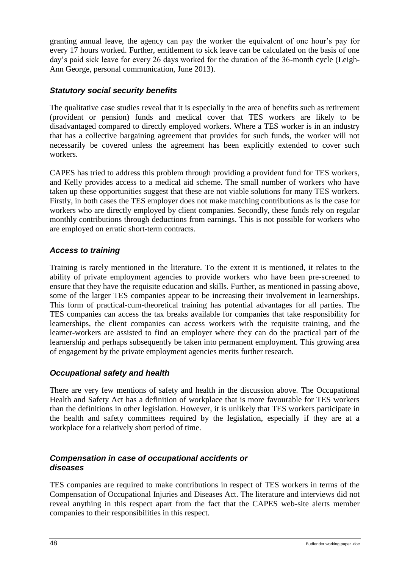granting annual leave, the agency can pay the worker the equivalent of one hour's pay for every 17 hours worked. Further, entitlement to sick leave can be calculated on the basis of one day's paid sick leave for every 26 days worked for the duration of the 36-month cycle (Leigh-Ann George, personal communication, June 2013).

### <span id="page-53-0"></span>*Statutory social security benefits*

The qualitative case studies reveal that it is especially in the area of benefits such as retirement (provident or pension) funds and medical cover that TES workers are likely to be disadvantaged compared to directly employed workers. Where a TES worker is in an industry that has a collective bargaining agreement that provides for such funds, the worker will not necessarily be covered unless the agreement has been explicitly extended to cover such workers.

CAPES has tried to address this problem through providing a provident fund for TES workers, and Kelly provides access to a medical aid scheme. The small number of workers who have taken up these opportunities suggest that these are not viable solutions for many TES workers. Firstly, in both cases the TES employer does not make matching contributions as is the case for workers who are directly employed by client companies. Secondly, these funds rely on regular monthly contributions through deductions from earnings. This is not possible for workers who are employed on erratic short-term contracts.

### <span id="page-53-1"></span>*Access to training*

Training is rarely mentioned in the literature. To the extent it is mentioned, it relates to the ability of private employment agencies to provide workers who have been pre-screened to ensure that they have the requisite education and skills. Further, as mentioned in passing above, some of the larger TES companies appear to be increasing their involvement in learnerships. This form of practical-cum-theoretical training has potential advantages for all parties. The TES companies can access the tax breaks available for companies that take responsibility for learnerships, the client companies can access workers with the requisite training, and the learner-workers are assisted to find an employer where they can do the practical part of the learnership and perhaps subsequently be taken into permanent employment. This growing area of engagement by the private employment agencies merits further research.

### <span id="page-53-2"></span>*Occupational safety and health*

There are very few mentions of safety and health in the discussion above. The Occupational Health and Safety Act has a definition of workplace that is more favourable for TES workers than the definitions in other legislation. However, it is unlikely that TES workers participate in the health and safety committees required by the legislation, especially if they are at a workplace for a relatively short period of time.

### <span id="page-53-3"></span>*Compensation in case of occupational accidents or diseases*

TES companies are required to make contributions in respect of TES workers in terms of the Compensation of Occupational Injuries and Diseases Act. The literature and interviews did not reveal anything in this respect apart from the fact that the CAPES web-site alerts member companies to their responsibilities in this respect.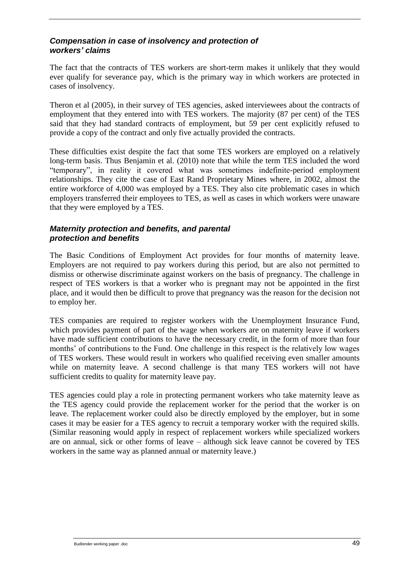### <span id="page-54-0"></span>*Compensation in case of insolvency and protection of workers' claims*

The fact that the contracts of TES workers are short-term makes it unlikely that they would ever qualify for severance pay, which is the primary way in which workers are protected in cases of insolvency.

Theron et al (2005), in their survey of TES agencies, asked interviewees about the contracts of employment that they entered into with TES workers. The majority (87 per cent) of the TES said that they had standard contracts of employment, but 59 per cent explicitly refused to provide a copy of the contract and only five actually provided the contracts.

These difficulties exist despite the fact that some TES workers are employed on a relatively long-term basis. Thus Benjamin et al. (2010) note that while the term TES included the word "temporary", in reality it covered what was sometimes indefinite-period employment relationships. They cite the case of East Rand Proprietary Mines where, in 2002, almost the entire workforce of 4,000 was employed by a TES. They also cite problematic cases in which employers transferred their employees to TES, as well as cases in which workers were unaware that they were employed by a TES.

### <span id="page-54-1"></span>*Maternity protection and benefits, and parental protection and benefits*

The Basic Conditions of Employment Act provides for four months of maternity leave. Employers are not required to pay workers during this period, but are also not permitted to dismiss or otherwise discriminate against workers on the basis of pregnancy. The challenge in respect of TES workers is that a worker who is pregnant may not be appointed in the first place, and it would then be difficult to prove that pregnancy was the reason for the decision not to employ her.

TES companies are required to register workers with the Unemployment Insurance Fund, which provides payment of part of the wage when workers are on maternity leave if workers have made sufficient contributions to have the necessary credit, in the form of more than four months' of contributions to the Fund. One challenge in this respect is the relatively low wages of TES workers. These would result in workers who qualified receiving even smaller amounts while on maternity leave. A second challenge is that many TES workers will not have sufficient credits to quality for maternity leave pay.

<span id="page-54-2"></span>TES agencies could play a role in protecting permanent workers who take maternity leave as the TES agency could provide the replacement worker for the period that the worker is on leave. The replacement worker could also be directly employed by the employer, but in some cases it may be easier for a TES agency to recruit a temporary worker with the required skills. (Similar reasoning would apply in respect of replacement workers while specialized workers are on annual, sick or other forms of leave – although sick leave cannot be covered by TES workers in the same way as planned annual or maternity leave.)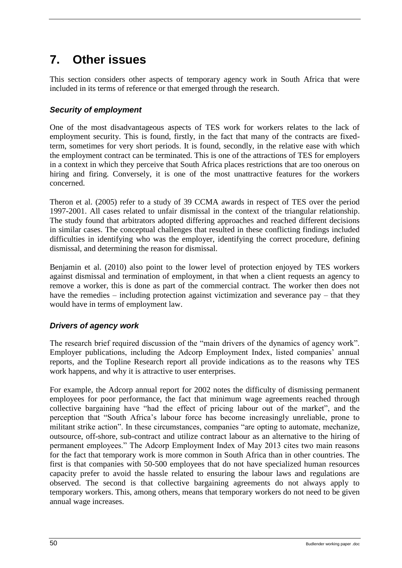# **7. Other issues**

<span id="page-55-0"></span>This section considers other aspects of temporary agency work in South Africa that were included in its terms of reference or that emerged through the research.

### *Security of employment*

One of the most disadvantageous aspects of TES work for workers relates to the lack of employment security. This is found, firstly, in the fact that many of the contracts are fixedterm, sometimes for very short periods. It is found, secondly, in the relative ease with which the employment contract can be terminated. This is one of the attractions of TES for employers in a context in which they perceive that South Africa places restrictions that are too onerous on hiring and firing. Conversely, it is one of the most unattractive features for the workers concerned.

Theron et al. (2005) refer to a study of 39 CCMA awards in respect of TES over the period 1997-2001. All cases related to unfair dismissal in the context of the triangular relationship. The study found that arbitrators adopted differing approaches and reached different decisions in similar cases. The conceptual challenges that resulted in these conflicting findings included difficulties in identifying who was the employer, identifying the correct procedure, defining dismissal, and determining the reason for dismissal.

Benjamin et al. (2010) also point to the lower level of protection enjoyed by TES workers against dismissal and termination of employment, in that when a client requests an agency to remove a worker, this is done as part of the commercial contract. The worker then does not have the remedies – including protection against victimization and severance pay – that they would have in terms of employment law.

### <span id="page-55-1"></span>*Drivers of agency work*

The research brief required discussion of the "main drivers of the dynamics of agency work". Employer publications, including the Adcorp Employment Index, listed companies' annual reports, and the Topline Research report all provide indications as to the reasons why TES work happens, and why it is attractive to user enterprises.

For example, the Adcorp annual report for 2002 notes the difficulty of dismissing permanent employees for poor performance, the fact that minimum wage agreements reached through collective bargaining have "had the effect of pricing labour out of the market", and the perception that "South Africa's labour force has become increasingly unreliable, prone to militant strike action". In these circumstances, companies "are opting to automate, mechanize, outsource, off-shore, sub-contract and utilize contract labour as an alternative to the hiring of permanent employees." The Adcorp Employment Index of May 2013 cites two main reasons for the fact that temporary work is more common in South Africa than in other countries. The first is that companies with 50-500 employees that do not have specialized human resources capacity prefer to avoid the hassle related to ensuring the labour laws and regulations are observed. The second is that collective bargaining agreements do not always apply to temporary workers. This, among others, means that temporary workers do not need to be given annual wage increases.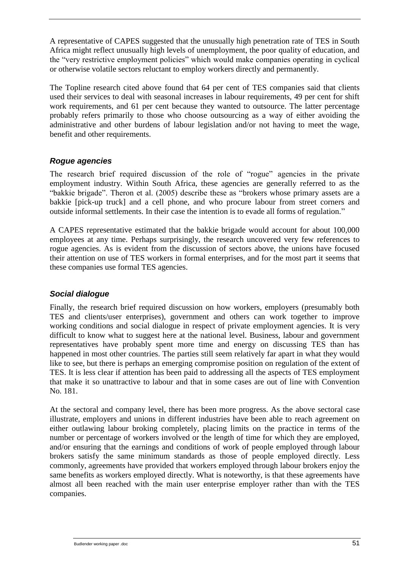A representative of CAPES suggested that the unusually high penetration rate of TES in South Africa might reflect unusually high levels of unemployment, the poor quality of education, and the "very restrictive employment policies" which would make companies operating in cyclical or otherwise volatile sectors reluctant to employ workers directly and permanently.

The Topline research cited above found that 64 per cent of TES companies said that clients used their services to deal with seasonal increases in labour requirements, 49 per cent for shift work requirements, and 61 per cent because they wanted to outsource. The latter percentage probably refers primarily to those who choose outsourcing as a way of either avoiding the administrative and other burdens of labour legislation and/or not having to meet the wage, benefit and other requirements.

### <span id="page-56-0"></span>*Rogue agencies*

The research brief required discussion of the role of "rogue" agencies in the private employment industry. Within South Africa, these agencies are generally referred to as the "bakkie brigade". Theron et al. (2005) describe these as "brokers whose primary assets are a bakkie [pick-up truck] and a cell phone, and who procure labour from street corners and outside informal settlements. In their case the intention is to evade all forms of regulation."

A CAPES representative estimated that the bakkie brigade would account for about 100,000 employees at any time. Perhaps surprisingly, the research uncovered very few references to rogue agencies. As is evident from the discussion of sectors above, the unions have focused their attention on use of TES workers in formal enterprises, and for the most part it seems that these companies use formal TES agencies.

### <span id="page-56-1"></span>*Social dialogue*

Finally, the research brief required discussion on how workers, employers (presumably both TES and clients/user enterprises), government and others can work together to improve working conditions and social dialogue in respect of private employment agencies. It is very difficult to know what to suggest here at the national level. Business, labour and government representatives have probably spent more time and energy on discussing TES than has happened in most other countries. The parties still seem relatively far apart in what they would like to see, but there is perhaps an emerging compromise position on regulation of the extent of TES. It is less clear if attention has been paid to addressing all the aspects of TES employment that make it so unattractive to labour and that in some cases are out of line with Convention No. 181.

At the sectoral and company level, there has been more progress. As the above sectoral case illustrate, employers and unions in different industries have been able to reach agreement on either outlawing labour broking completely, placing limits on the practice in terms of the number or percentage of workers involved or the length of time for which they are employed, and/or ensuring that the earnings and conditions of work of people employed through labour brokers satisfy the same minimum standards as those of people employed directly. Less commonly, agreements have provided that workers employed through labour brokers enjoy the same benefits as workers employed directly. What is noteworthy, is that these agreements have almost all been reached with the main user enterprise employer rather than with the TES companies.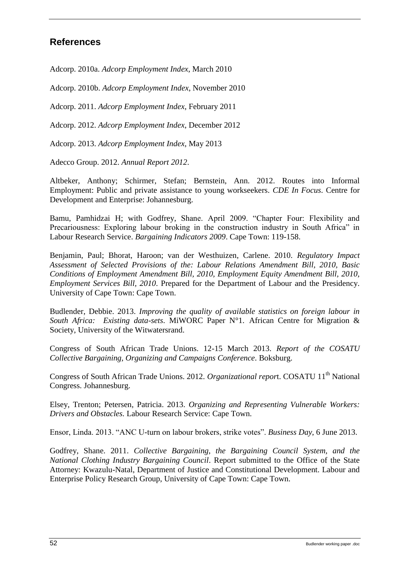### <span id="page-57-0"></span>**References**

Adcorp. 2010a. *Adcorp Employment Index*, March 2010

Adcorp. 2010b. *Adcorp Employment Index*, November 2010

Adcorp. 2011. *Adcorp Employment Index*, February 2011

Adcorp. 2012. *Adcorp Employment Index*, December 2012

Adcorp. 2013. *Adcorp Employment Index*, May 2013

Adecco Group. 2012. *Annual Report 2012*.

Altbeker, Anthony; Schirmer, Stefan; Bernstein, Ann. 2012. Routes into Informal Employment: Public and private assistance to young workseekers. *CDE In Focus*. Centre for Development and Enterprise: Johannesburg.

Bamu, Pamhidzai H; with Godfrey, Shane. April 2009. "Chapter Four: Flexibility and Precariousness: Exploring labour broking in the construction industry in South Africa" in Labour Research Service. *Bargaining Indicators 2009*. Cape Town: 119-158.

Benjamin, Paul; Bhorat, Haroon; van der Westhuizen, Carlene. 2010. *Regulatory Impact Assessment of Selected Provisions of the: Labour Relations Amendment Bill, 2010, Basic Conditions of Employment Amendment Bill, 2010, Employment Equity Amendment Bill, 2010, Employment Services Bill, 2010*. Prepared for the Department of Labour and the Presidency. University of Cape Town: Cape Town.

Budlender, Debbie. 2013. *Improving the quality of available statistics on foreign labour in South Africa: Existing data-sets*. MiWORC Paper N°1. African Centre for Migration & Society, University of the Witwatersrand.

Congress of South African Trade Unions. 12-15 March 2013. *Report of the COSATU Collective Bargaining, Organizing and Campaigns Conference*. Boksburg.

Congress of South African Trade Unions. 2012. *Organizational report*. COSATU 11<sup>th</sup> National Congress. Johannesburg.

Elsey, Trenton; Petersen, Patricia. 2013. *Organizing and Representing Vulnerable Workers: Drivers and Obstacles.* Labour Research Service: Cape Town.

Ensor, Linda. 2013. "ANC U-turn on labour brokers, strike votes". *Business Day*, 6 June 2013.

Godfrey, Shane. 2011. *Collective Bargaining, the Bargaining Council System, and the National Clothing Industry Bargaining Council*. Report submitted to the Office of the State Attorney: Kwazulu-Natal, Department of Justice and Constitutional Development. Labour and Enterprise Policy Research Group, University of Cape Town: Cape Town.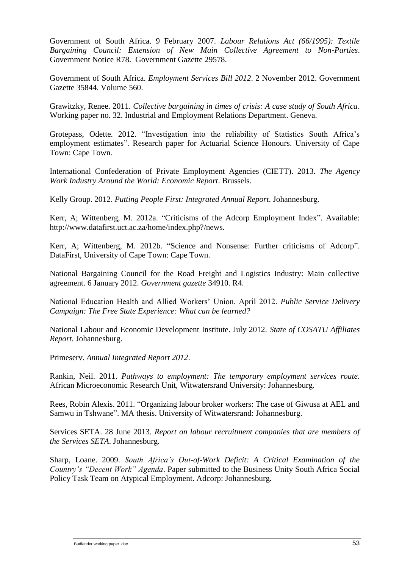Government of South Africa. 9 February 2007. *Labour Relations Act (66/1995): Textile Bargaining Council: Extension of New Main Collective Agreement to Non-Parties*. Government Notice R78. Government Gazette 29578.

Government of South Africa. *Employment Services Bill 2012*. 2 November 2012. Government Gazette 35844. Volume 560.

Grawitzky, Renee. 2011. *Collective bargaining in times of crisis: A case study of South Africa*. Working paper no. 32. Industrial and Employment Relations Department. Geneva.

Grotepass, Odette. 2012. "Investigation into the reliability of Statistics South Africa's employment estimates". Research paper for Actuarial Science Honours. University of Cape Town: Cape Town.

International Confederation of Private Employment Agencies (CIETT). 2013. *The Agency Work Industry Around the World: Economic Report*. Brussels.

Kelly Group. 2012. *Putting People First: Integrated Annual Report*. Johannesburg.

Kerr, A; Wittenberg, M. 2012a. "Criticisms of the Adcorp Employment Index". Available: http://www.datafirst.uct.ac.za/home/index.php?/news.

Kerr, A; Wittenberg, M. 2012b. "Science and Nonsense: Further criticisms of Adcorp". DataFirst, University of Cape Town: Cape Town.

National Bargaining Council for the Road Freight and Logistics Industry: Main collective agreement. 6 January 2012. *Government gazette* 34910. R4.

National Education Health and Allied Workers' Union. April 2012. *Public Service Delivery Campaign: The Free State Experience: What can be learned?*

National Labour and Economic Development Institute. July 2012. *State of COSATU Affiliates Report*. Johannesburg.

Primeserv. *Annual Integrated Report 2012*.

Rankin, Neil. 2011. *Pathways to employment: The temporary employment services route*. African Microeconomic Research Unit, Witwatersrand University: Johannesburg.

Rees, Robin Alexis. 2011. "Organizing labour broker workers: The case of Giwusa at AEL and Samwu in Tshwane". MA thesis. University of Witwatersrand: Johannesburg.

Services SETA. 28 June 2013. *Report on labour recruitment companies that are members of the Services SETA*. Johannesburg.

Sharp, Loane. 2009. *South Africa's Out-of-Work Deficit: A Critical Examination of the Country's "Decent Work" Agenda*. Paper submitted to the Business Unity South Africa Social Policy Task Team on Atypical Employment. Adcorp: Johannesburg.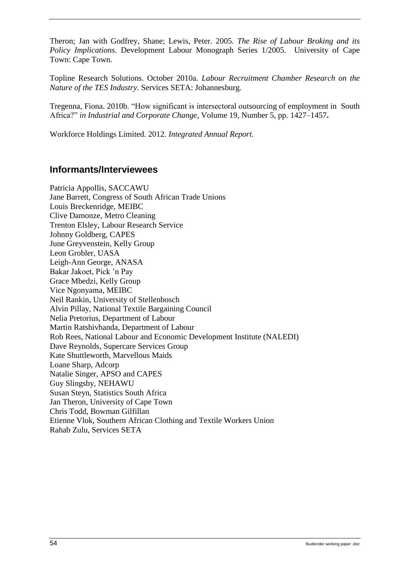Theron; Jan with Godfrey, Shane; Lewis, Peter. 2005. *The Rise of Labour Broking and its Policy Implications*. Development Labour Monograph Series 1/2005. University of Cape Town: Cape Town.

Topline Research Solutions. October 2010a. *Labour Recruitment Chamber Research on the Nature of the TES Industry*. Services SETA: Johannesburg.

Tregenna, Fiona. 2010b. "How significant is intersectoral outsourcing of employment in South Africa?" *in Industrial and Corporate Change*, Volume 19, Number 5, pp. 1427–1457**.**

Workforce Holdings Limited. 2012. *Integrated Annual Report*.

### <span id="page-59-0"></span>**Informants/Interviewees**

Patricia Appollis, SACCAWU Jane Barrett, Congress of South African Trade Unions Louis Breckenridge, MEIBC Clive Damonze, Metro Cleaning Trenton Elsley, Labour Research Service Johnny Goldberg, CAPES June Greyvenstein, Kelly Group Leon Grobler, UASA Leigh-Ann George, ANASA Bakar Jakoet, Pick 'n Pay Grace Mbedzi, Kelly Group Vice Ngonyama, MEIBC Neil Rankin, University of Stellenbosch Alvin Pillay, National Textile Bargaining Council Nelia Pretorius, Department of Labour Martin Ratshivhanda, Department of Labour Rob Rees, National Labour and Economic Development Institute (NALEDI) Dave Reynolds, Supercare Services Group Kate Shuttleworth, Marvellous Maids Loane Sharp, Adcorp Natalie Singer, APSO and CAPES Guy Slingsby, NEHAWU Susan Steyn, Statistics South Africa Jan Theron, University of Cape Town Chris Todd, Bowman Gilfillan Etienne Vlok, Southern African Clothing and Textile Workers Union Rahab Zulu, Services SETA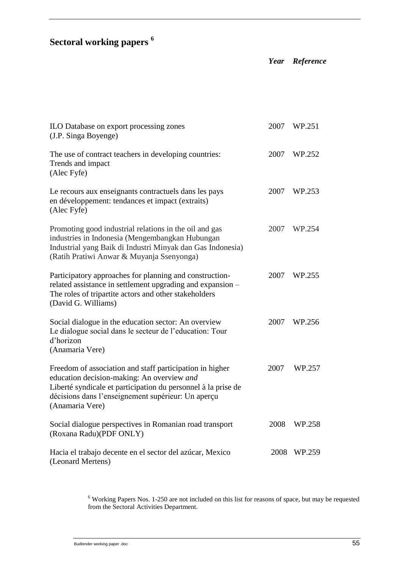# **Sectoral working papers <sup>6</sup>**

| ILO Database on export processing zones<br>(J.P. Singa Boyenge)                                                                                                                                                                                  | 2007 | WP.251 |
|--------------------------------------------------------------------------------------------------------------------------------------------------------------------------------------------------------------------------------------------------|------|--------|
| The use of contract teachers in developing countries:<br>Trends and impact<br>(Alec Fyfe)                                                                                                                                                        | 2007 | WP.252 |
| Le recours aux enseignants contractuels dans les pays<br>en développement: tendances et impact (extraits)<br>(Alec Fyfe)                                                                                                                         | 2007 | WP.253 |
| Promoting good industrial relations in the oil and gas<br>industries in Indonesia (Mengembangkan Hubungan<br>Industrial yang Baik di Industri Minyak dan Gas Indonesia)<br>(Ratih Pratiwi Anwar & Muyanja Ssenyonga)                             | 2007 | WP.254 |
| Participatory approaches for planning and construction-<br>related assistance in settlement upgrading and expansion -<br>The roles of tripartite actors and other stakeholders<br>(David G. Williams)                                            | 2007 | WP.255 |
| Social dialogue in the education sector: An overview<br>Le dialogue social dans le secteur de l'education: Tour<br>d'horizon<br>(Anamaria Vere)                                                                                                  | 2007 | WP.256 |
| Freedom of association and staff participation in higher<br>education decision-making: An overview and<br>Liberté syndicale et participation du personnel à la prise de<br>décisions dans l'enseignement supérieur: Un aperçu<br>(Anamaria Vere) | 2007 | WP.257 |
| Social dialogue perspectives in Romanian road transport<br>(Roxana Radu)(PDF ONLY)                                                                                                                                                               | 2008 | WP.258 |
| Hacia el trabajo decente en el sector del azúcar, Mexico<br>(Leonard Mertens)                                                                                                                                                                    | 2008 | WP.259 |

*Year Reference*

 $6$  Working Papers Nos. 1-250 are not included on this list for reasons of space, but may be requested from the Sectoral Activities Department.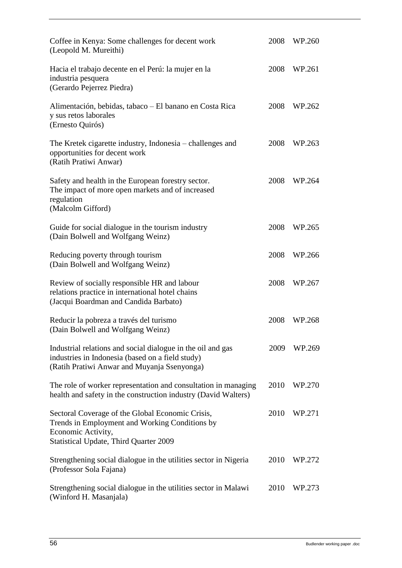| Coffee in Kenya: Some challenges for decent work<br>(Leopold M. Mureithi)                                                                                                 |      | WP.260 |
|---------------------------------------------------------------------------------------------------------------------------------------------------------------------------|------|--------|
| Hacia el trabajo decente en el Perú: la mujer en la<br>industria pesquera<br>(Gerardo Pejerrez Piedra)                                                                    | 2008 | WP.261 |
| Alimentación, bebidas, tabaco – El banano en Costa Rica<br>y sus retos laborales<br>(Ernesto Quirós)                                                                      | 2008 | WP.262 |
| The Kretek cigarette industry, Indonesia – challenges and<br>opportunities for decent work<br>(Ratih Pratiwi Anwar)                                                       | 2008 | WP.263 |
| Safety and health in the European forestry sector.<br>The impact of more open markets and of increased<br>regulation<br>(Malcolm Gifford)                                 | 2008 | WP.264 |
| Guide for social dialogue in the tourism industry<br>(Dain Bolwell and Wolfgang Weinz)                                                                                    | 2008 | WP.265 |
| Reducing poverty through tourism<br>(Dain Bolwell and Wolfgang Weinz)                                                                                                     | 2008 | WP.266 |
| Review of socially responsible HR and labour<br>relations practice in international hotel chains<br>(Jacqui Boardman and Candida Barbato)                                 | 2008 | WP.267 |
| Reducir la pobreza a través del turismo<br>(Dain Bolwell and Wolfgang Weinz)                                                                                              | 2008 | WP.268 |
| Industrial relations and social dialogue in the oil and gas<br>industries in Indonesia (based on a field study)<br>(Ratih Pratiwi Anwar and Muyanja Ssenyonga)            | 2009 | WP.269 |
| The role of worker representation and consultation in managing<br>health and safety in the construction industry (David Walters)                                          | 2010 | WP.270 |
| Sectoral Coverage of the Global Economic Crisis,<br>Trends in Employment and Working Conditions by<br>Economic Activity,<br><b>Statistical Update, Third Quarter 2009</b> | 2010 | WP.271 |
| Strengthening social dialogue in the utilities sector in Nigeria<br>(Professor Sola Fajana)                                                                               | 2010 | WP.272 |
| Strengthening social dialogue in the utilities sector in Malawi<br>(Winford H. Masanjala)                                                                                 | 2010 | WP.273 |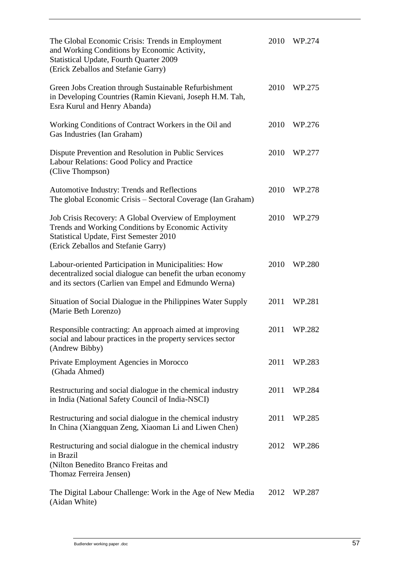| The Global Economic Crisis: Trends in Employment<br>and Working Conditions by Economic Activity,<br><b>Statistical Update, Fourth Quarter 2009</b><br>(Erick Zeballos and Stefanie Garry)           | 2010 | WP.274 |
|-----------------------------------------------------------------------------------------------------------------------------------------------------------------------------------------------------|------|--------|
| Green Jobs Creation through Sustainable Refurbishment<br>in Developing Countries (Ramin Kievani, Joseph H.M. Tah,<br>Esra Kurul and Henry Abanda)                                                   | 2010 | WP.275 |
| Working Conditions of Contract Workers in the Oil and<br>Gas Industries (Ian Graham)                                                                                                                | 2010 | WP.276 |
| Dispute Prevention and Resolution in Public Services<br>Labour Relations: Good Policy and Practice<br>(Clive Thompson)                                                                              | 2010 | WP.277 |
| Automotive Industry: Trends and Reflections<br>The global Economic Crisis – Sectoral Coverage (Ian Graham)                                                                                          | 2010 | WP.278 |
| Job Crisis Recovery: A Global Overview of Employment<br>Trends and Working Conditions by Economic Activity<br><b>Statistical Update, First Semester 2010</b><br>(Erick Zeballos and Stefanie Garry) | 2010 | WP.279 |
| Labour-oriented Participation in Municipalities: How<br>decentralized social dialogue can benefit the urban economy<br>and its sectors (Carlien van Empel and Edmundo Werna)                        | 2010 | WP.280 |
| Situation of Social Dialogue in the Philippines Water Supply<br>(Marie Beth Lorenzo)                                                                                                                | 2011 | WP.281 |
| Responsible contracting: An approach aimed at improving<br>social and labour practices in the property services sector<br>(Andrew Bibby)                                                            | 2011 | WP.282 |
| Private Employment Agencies in Morocco<br>(Ghada Ahmed)                                                                                                                                             | 2011 | WP.283 |
| Restructuring and social dialogue in the chemical industry<br>in India (National Safety Council of India-NSCI)                                                                                      | 2011 | WP.284 |
| Restructuring and social dialogue in the chemical industry<br>In China (Xiangquan Zeng, Xiaoman Li and Liwen Chen)                                                                                  | 2011 | WP.285 |
| Restructuring and social dialogue in the chemical industry<br>in Brazil<br>(Nilton Benedito Branco Freitas and<br>Thomaz Ferreira Jensen)                                                           | 2012 | WP.286 |
| The Digital Labour Challenge: Work in the Age of New Media<br>(Aidan White)                                                                                                                         | 2012 | WP.287 |